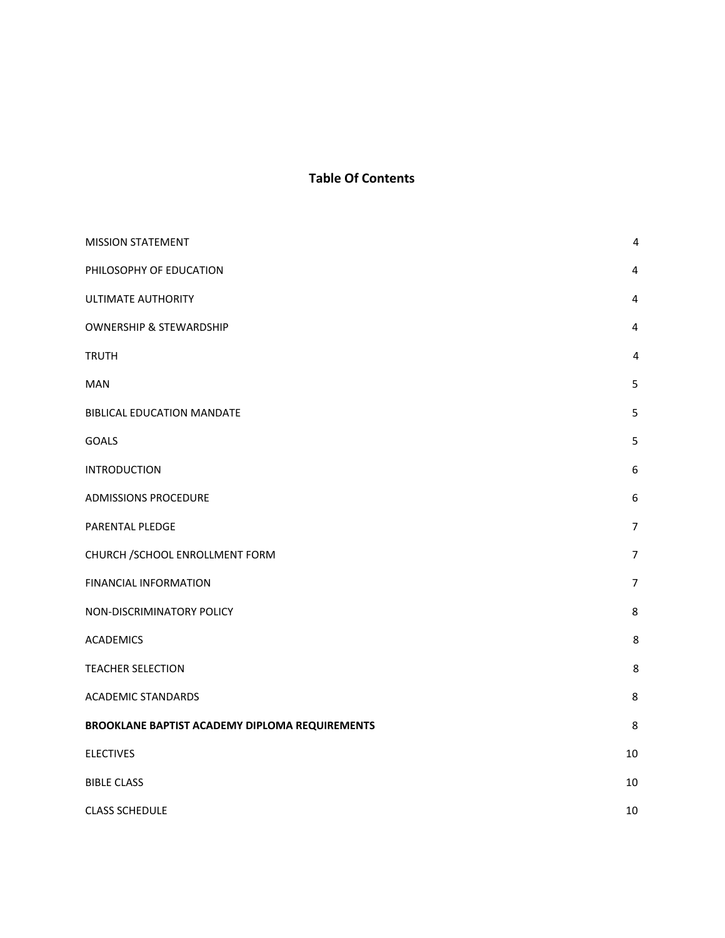# **Table Of Contents**

| <b>MISSION STATEMENT</b>                       | 4                |
|------------------------------------------------|------------------|
| PHILOSOPHY OF EDUCATION                        | 4                |
| <b>ULTIMATE AUTHORITY</b>                      | $\pmb{4}$        |
| <b>OWNERSHIP &amp; STEWARDSHIP</b>             | $\overline{4}$   |
| <b>TRUTH</b>                                   | 4                |
| MAN                                            | 5                |
| BIBLICAL EDUCATION MANDATE                     | 5                |
| <b>GOALS</b>                                   | 5                |
| <b>INTRODUCTION</b>                            | $\boldsymbol{6}$ |
| <b>ADMISSIONS PROCEDURE</b>                    | $\boldsymbol{6}$ |
| PARENTAL PLEDGE                                | $\overline{7}$   |
| CHURCH /SCHOOL ENROLLMENT FORM                 | $\overline{7}$   |
| <b>FINANCIAL INFORMATION</b>                   | $\overline{7}$   |
| NON-DISCRIMINATORY POLICY                      | 8                |
| <b>ACADEMICS</b>                               | 8                |
| <b>TEACHER SELECTION</b>                       | 8                |
| <b>ACADEMIC STANDARDS</b>                      | $\,8\,$          |
| BROOKLANE BAPTIST ACADEMY DIPLOMA REQUIREMENTS | 8                |
| <b>ELECTIVES</b>                               | 10               |
| <b>BIBLE CLASS</b>                             | 10               |
| <b>CLASS SCHEDULE</b>                          | 10               |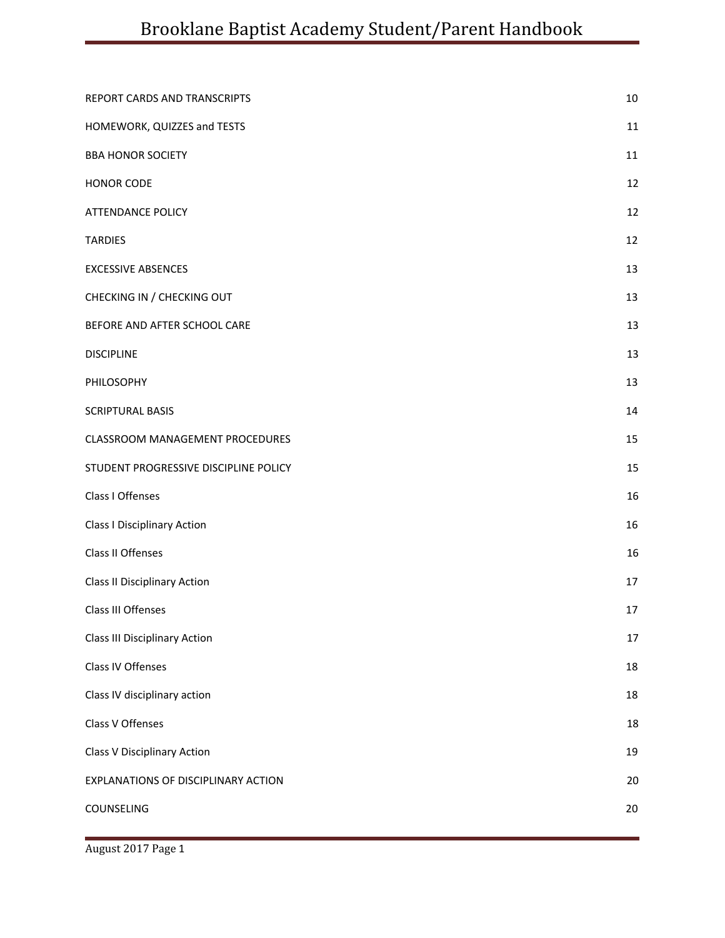| REPORT CARDS AND TRANSCRIPTS           | 10     |
|----------------------------------------|--------|
| HOMEWORK, QUIZZES and TESTS            | 11     |
| <b>BBA HONOR SOCIETY</b>               | 11     |
| HONOR CODE                             | 12     |
| <b>ATTENDANCE POLICY</b>               | 12     |
| <b>TARDIES</b>                         | 12     |
| <b>EXCESSIVE ABSENCES</b>              | 13     |
| CHECKING IN / CHECKING OUT             | 13     |
| BEFORE AND AFTER SCHOOL CARE           | 13     |
| <b>DISCIPLINE</b>                      | 13     |
| PHILOSOPHY                             | 13     |
| <b>SCRIPTURAL BASIS</b>                | 14     |
| <b>CLASSROOM MANAGEMENT PROCEDURES</b> | 15     |
| STUDENT PROGRESSIVE DISCIPLINE POLICY  | 15     |
| Class I Offenses                       | 16     |
| <b>Class I Disciplinary Action</b>     | 16     |
| Class II Offenses                      | 16     |
| <b>Class II Disciplinary Action</b>    | 17     |
| Class III Offenses                     | 17     |
| <b>Class III Disciplinary Action</b>   | $17\,$ |
| Class IV Offenses                      | 18     |
| Class IV disciplinary action           | 18     |
| Class V Offenses                       | 18     |
| <b>Class V Disciplinary Action</b>     | 19     |
| EXPLANATIONS OF DISCIPLINARY ACTION    | 20     |
| COUNSELING                             | 20     |
|                                        |        |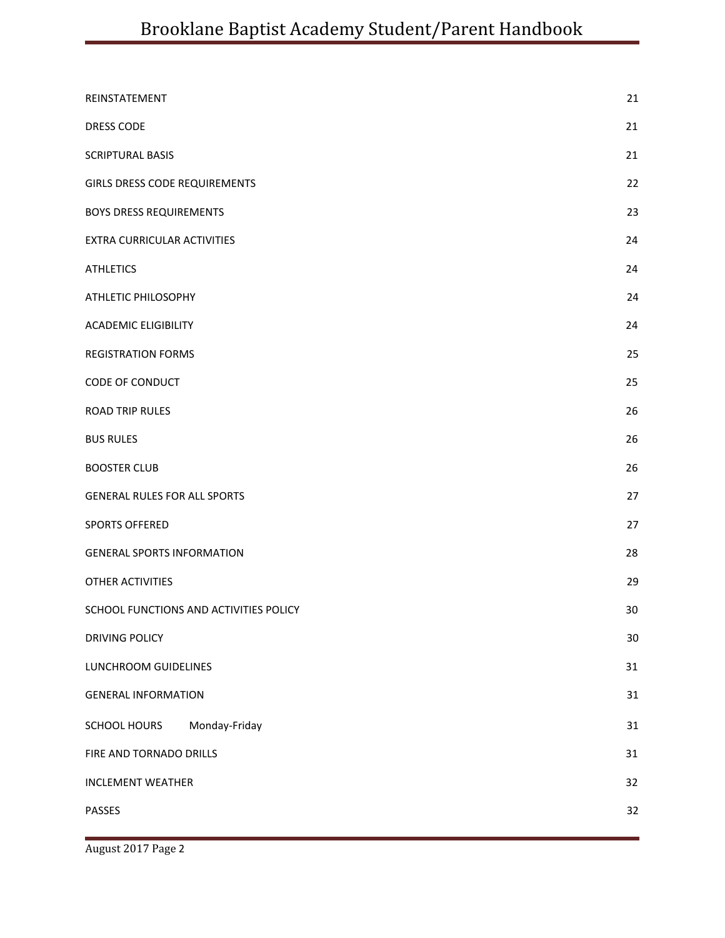| REINSTATEMENT                          | 21     |
|----------------------------------------|--------|
| <b>DRESS CODE</b>                      | 21     |
| <b>SCRIPTURAL BASIS</b>                | 21     |
| <b>GIRLS DRESS CODE REQUIREMENTS</b>   | 22     |
| <b>BOYS DRESS REQUIREMENTS</b>         | 23     |
| EXTRA CURRICULAR ACTIVITIES            | 24     |
| <b>ATHLETICS</b>                       | 24     |
| ATHLETIC PHILOSOPHY                    | 24     |
| <b>ACADEMIC ELIGIBILITY</b>            | 24     |
| <b>REGISTRATION FORMS</b>              | 25     |
| CODE OF CONDUCT                        | 25     |
| <b>ROAD TRIP RULES</b>                 | 26     |
| <b>BUS RULES</b>                       | 26     |
| <b>BOOSTER CLUB</b>                    | 26     |
| <b>GENERAL RULES FOR ALL SPORTS</b>    | 27     |
| <b>SPORTS OFFERED</b>                  | 27     |
| <b>GENERAL SPORTS INFORMATION</b>      | 28     |
| <b>OTHER ACTIVITIES</b>                | 29     |
| SCHOOL FUNCTIONS AND ACTIVITIES POLICY | 30     |
| DRIVING POLICY                         | $30\,$ |
| LUNCHROOM GUIDELINES                   | 31     |
| <b>GENERAL INFORMATION</b>             | 31     |
| SCHOOL HOURS<br>Monday-Friday          | 31     |
| FIRE AND TORNADO DRILLS                | 31     |
| <b>INCLEMENT WEATHER</b>               | 32     |
| PASSES                                 | 32     |
|                                        |        |

August 2017 Page 2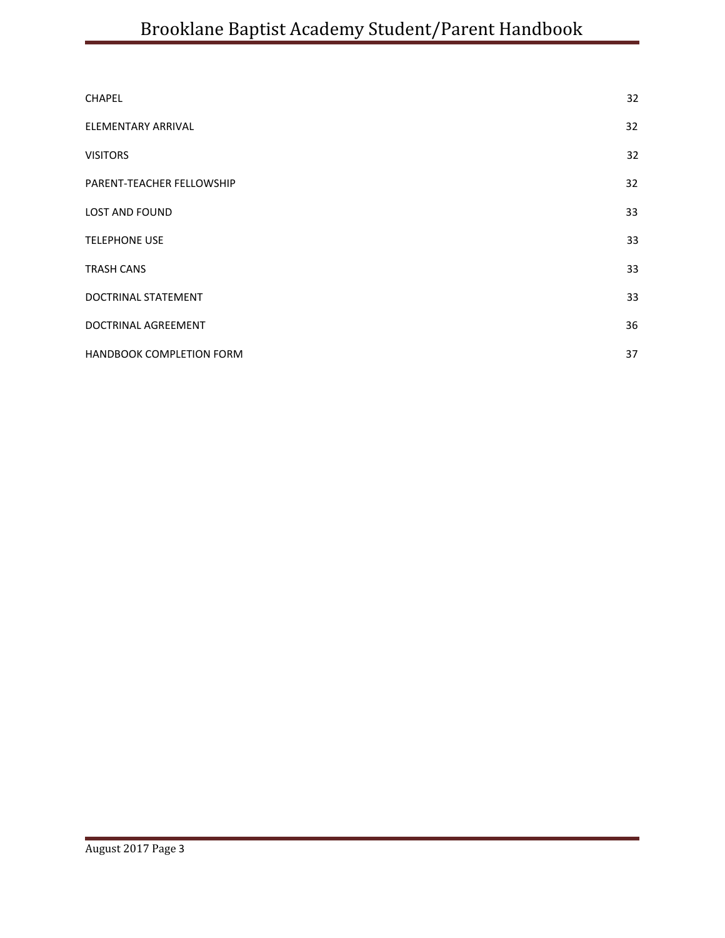| <b>CHAPEL</b>                   | 32 |
|---------------------------------|----|
| ELEMENTARY ARRIVAL              | 32 |
| <b>VISITORS</b>                 | 32 |
| PARENT-TEACHER FELLOWSHIP       | 32 |
| <b>LOST AND FOUND</b>           | 33 |
| <b>TELEPHONE USE</b>            | 33 |
| <b>TRASH CANS</b>               | 33 |
| DOCTRINAL STATEMENT             | 33 |
| <b>DOCTRINAL AGREEMENT</b>      | 36 |
| <b>HANDBOOK COMPLETION FORM</b> | 37 |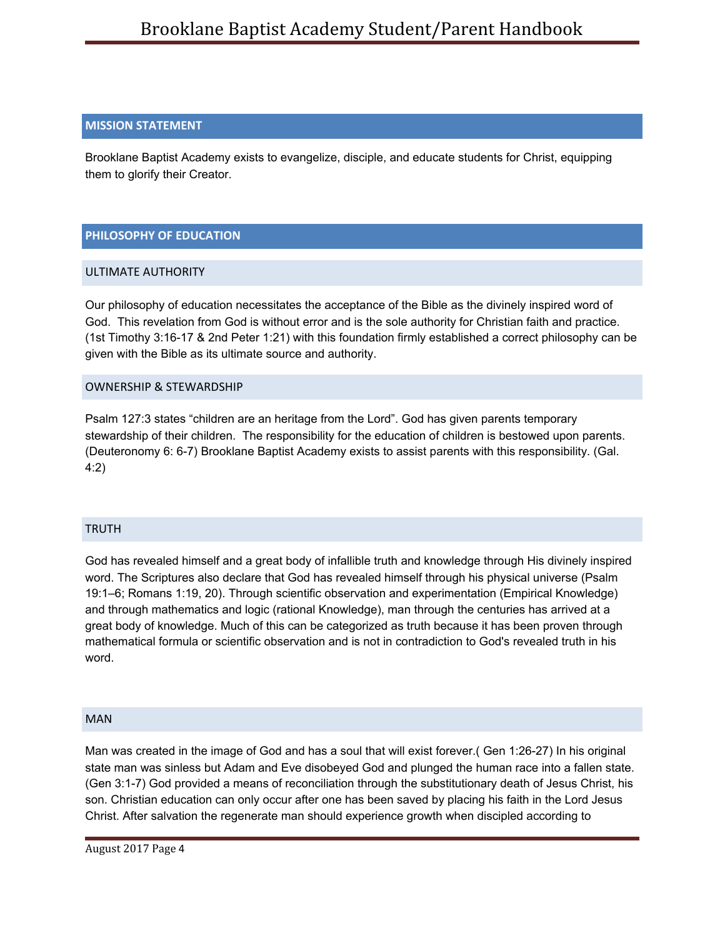### <span id="page-4-0"></span>**MISSION STATEMENT**

Brooklane Baptist Academy exists to evangelize, disciple, and educate students for Christ, equipping them to glorify their Creator.

## <span id="page-4-1"></span>**PHILOSOPHY OF EDUCATION**

### <span id="page-4-2"></span>ULTIMATE AUTHORITY

Our philosophy of education necessitates the acceptance of the Bible as the divinely inspired word of God. This revelation from God is without error and is the sole authority for Christian faith and practice. (1st Timothy 3:16-17 & 2nd Peter 1:21) with this foundation firmly established a correct philosophy can be given with the Bible as its ultimate source and authority.

### <span id="page-4-3"></span>OWNERSHIP & STEWARDSHIP

Psalm 127:3 states "children are an heritage from the Lord". God has given parents temporary stewardship of their children. The responsibility for the education of children is bestowed upon parents. (Deuteronomy 6: 6-7) Brooklane Baptist Academy exists to assist parents with this responsibility. (Gal. 4:2)

### <span id="page-4-4"></span>TRUTH

God has revealed himself and a great body of infallible truth and knowledge through His divinely inspired word. The Scriptures also declare that God has revealed himself through his physical universe (Psalm 19:1–6; Romans 1:19, 20). Through scientific observation and experimentation (Empirical Knowledge) and through mathematics and logic (rational Knowledge), man through the centuries has arrived at a great body of knowledge. Much of this can be categorized as truth because it has been proven through mathematical formula or scientific observation and is not in contradiction to God's revealed truth in his word.

### <span id="page-4-5"></span>MAN

Man was created in the image of God and has a soul that will exist forever.( Gen 1:26-27) In his original state man was sinless but Adam and Eve disobeyed God and plunged the human race into a fallen state. (Gen 3:1-7) God provided a means of reconciliation through the substitutionary death of Jesus Christ, his son. Christian education can only occur after one has been saved by placing his faith in the Lord Jesus Christ. After salvation the regenerate man should experience growth when discipled according to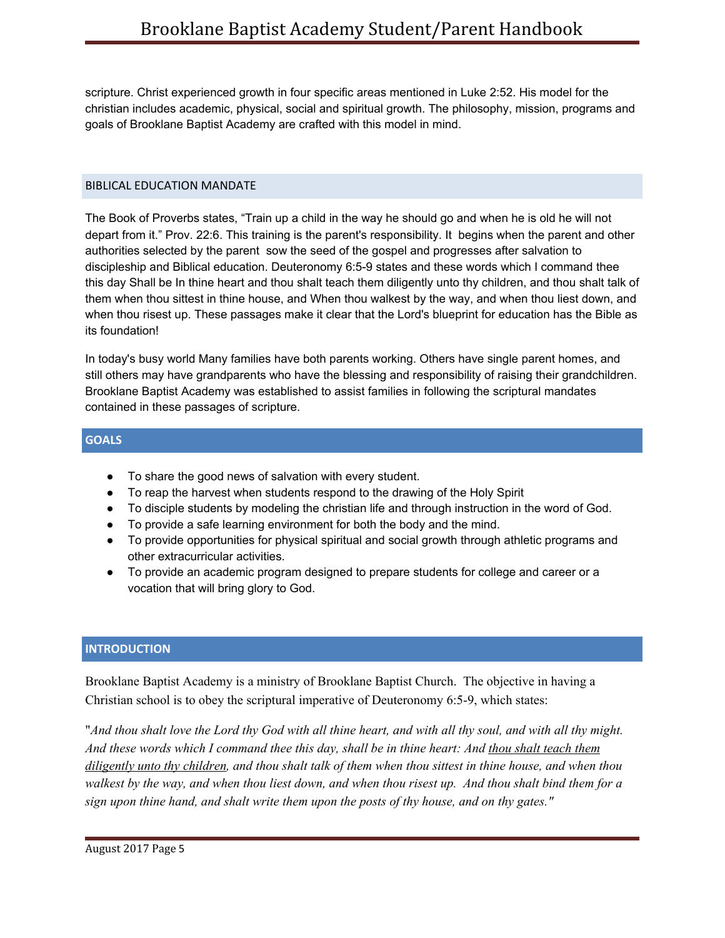scripture. Christ experienced growth in four specific areas mentioned in Luke 2:52. His model for the christian includes academic, physical, social and spiritual growth. The philosophy, mission, programs and goals of Brooklane Baptist Academy are crafted with this model in mind.

### <span id="page-5-0"></span>BIBLICAL EDUCATION MANDATE

The Book of Proverbs states, "Train up a child in the way he should go and when he is old he will not depart from it." Prov. 22:6. This training is the parent's responsibility. It begins when the parent and other authorities selected by the parent sow the seed of the gospel and progresses after salvation to discipleship and Biblical education. Deuteronomy 6:5-9 states and these words which I command thee this day Shall be In thine heart and thou shalt teach them diligently unto thy children, and thou shalt talk of them when thou sittest in thine house, and When thou walkest by the way, and when thou liest down, and when thou risest up. These passages make it clear that the Lord's blueprint for education has the Bible as its foundation!

In today's busy world Many families have both parents working. Others have single parent homes, and still others may have grandparents who have the blessing and responsibility of raising their grandchildren. Brooklane Baptist Academy was established to assist families in following the scriptural mandates contained in these passages of scripture.

### <span id="page-5-1"></span>**GOALS**

- To share the good news of salvation with every student.
- To reap the harvest when students respond to the drawing of the Holy Spirit
- To disciple students by modeling the christian life and through instruction in the word of God.
- To provide a safe learning environment for both the body and the mind.
- To provide opportunities for physical spiritual and social growth through athletic programs and other extracurricular activities.
- To provide an academic program designed to prepare students for college and career or a vocation that will bring glory to God.

## <span id="page-5-2"></span>**INTRODUCTION**

Brooklane Baptist Academy is a ministry of Brooklane Baptist Church. The objective in having a Christian school is to obey the scriptural imperative of Deuteronomy 6:5-9, which states:

"And thou shalt love the Lord thy God with all thine heart, and with all thy soul, and with all thy might. And these words which I command thee this day, shall be in thine heart: And thou shalt teach them diligently unto thy children, and thou shalt talk of them when thou sittest in thine house, and when thou walkest by the way, and when thou liest down, and when thou risest up. And thou shalt bind them for a *sign upon thine hand, and shalt write them upon the posts of thy house, and on thy gates."*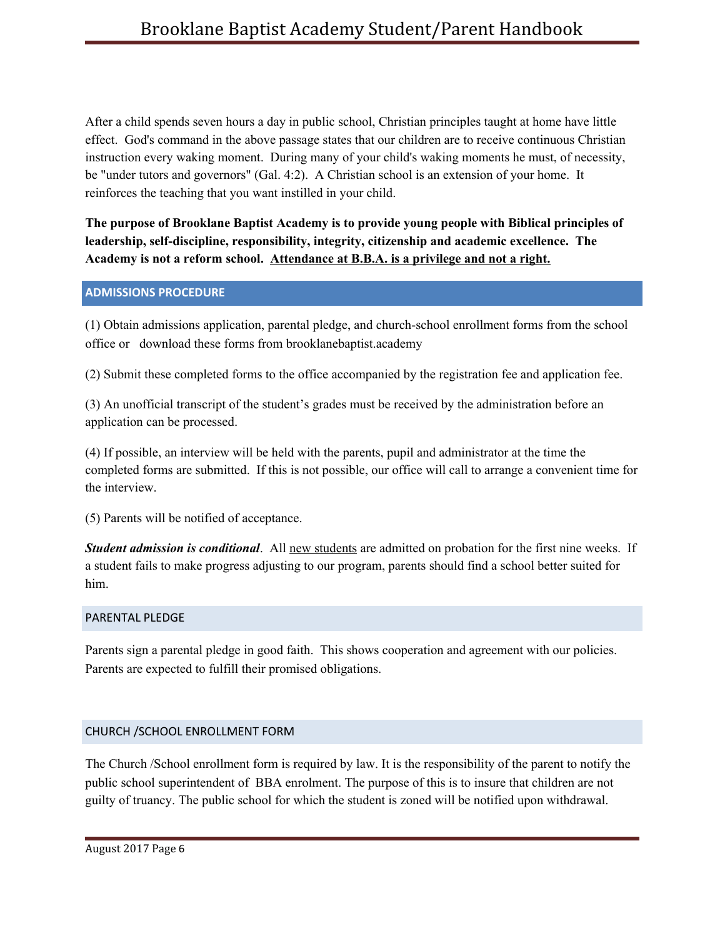After a child spends seven hours a day in public school, Christian principles taught at home have little effect. God's command in the above passage states that our children are to receive continuous Christian instruction every waking moment. During many of your child's waking moments he must, of necessity, be "under tutors and governors" (Gal. 4:2). A Christian school is an extension of your home. It reinforces the teaching that you want instilled in your child.

**The purpose of Brooklane Baptist Academy is to provide young people with Biblical principles of leadership, self-discipline, responsibility, integrity, citizenship and academic excellence. The Academy is not a reform school. Attendance at B.B.A. is a privilege and not a right.**

### <span id="page-6-0"></span>**ADMISSIONS PROCEDURE**

(1) Obtain admissions application, parental pledge, and church-school enrollment forms from the school office or download these forms from brooklanebaptist.academy

(2) Submit these completed forms to the office accompanied by the registration fee and application fee.

(3) An unofficial transcript of the student's grades must be received by the administration before an application can be processed.

(4) If possible, an interview will be held with the parents, pupil and administrator at the time the completed forms are submitted. If this is not possible, our office will call to arrange a convenient time for the interview.

(5) Parents will be notified of acceptance.

*Student admission is conditional*. All new students are admitted on probation for the first nine weeks. If a student fails to make progress adjusting to our program, parents should find a school better suited for him.

# <span id="page-6-1"></span>PARENTAL PLEDGE

Parents sign a parental pledge in good faith. This shows cooperation and agreement with our policies. Parents are expected to fulfill their promised obligations.

# <span id="page-6-2"></span>CHURCH /SCHOOL ENROLLMENT FORM

The Church /School enrollment form is required by law. It is the responsibility of the parent to notify the public school superintendent of BBA enrolment. The purpose of this is to insure that children are not guilty of truancy. The public school for which the student is zoned will be notified upon withdrawal.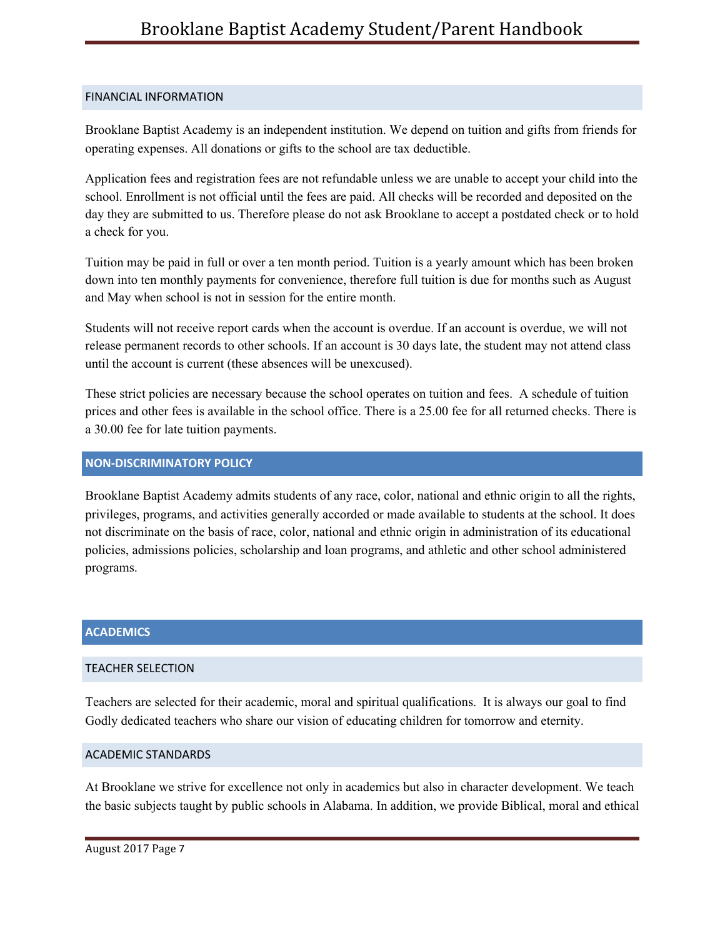### <span id="page-7-0"></span>FINANCIAL INFORMATION

Brooklane Baptist Academy is an independent institution. We depend on tuition and gifts from friends for operating expenses. All donations or gifts to the school are tax deductible.

Application fees and registration fees are not refundable unless we are unable to accept your child into the school. Enrollment is not official until the fees are paid. All checks will be recorded and deposited on the day they are submitted to us. Therefore please do not ask Brooklane to accept a postdated check or to hold a check for you.

Tuition may be paid in full or over a ten month period. Tuition is a yearly amount which has been broken down into ten monthly payments for convenience, therefore full tuition is due for months such as August and May when school is not in session for the entire month.

Students will not receive report cards when the account is overdue. If an account is overdue, we will not release permanent records to other schools. If an account is 30 days late, the student may not attend class until the account is current (these absences will be unexcused).

These strict policies are necessary because the school operates on tuition and fees. A schedule of tuition prices and other fees is available in the school office. There is a 25.00 fee for all returned checks. There is a 30.00 fee for late tuition payments.

## <span id="page-7-1"></span>**NON-DISCRIMINATORY POLICY**

Brooklane Baptist Academy admits students of any race, color, national and ethnic origin to all the rights, privileges, programs, and activities generally accorded or made available to students at the school. It does not discriminate on the basis of race, color, national and ethnic origin in administration of its educational policies, admissions policies, scholarship and loan programs, and athletic and other school administered programs.

## **ACADEMICS**

# <span id="page-7-2"></span>TEACHER SELECTION

Teachers are selected for their academic, moral and spiritual qualifications. It is always our goal to find Godly dedicated teachers who share our vision of educating children for tomorrow and eternity.

### <span id="page-7-3"></span>ACADEMIC STANDARDS

At Brooklane we strive for excellence not only in academics but also in character development. We teach the basic subjects taught by public schools in Alabama. In addition, we provide Biblical, moral and ethical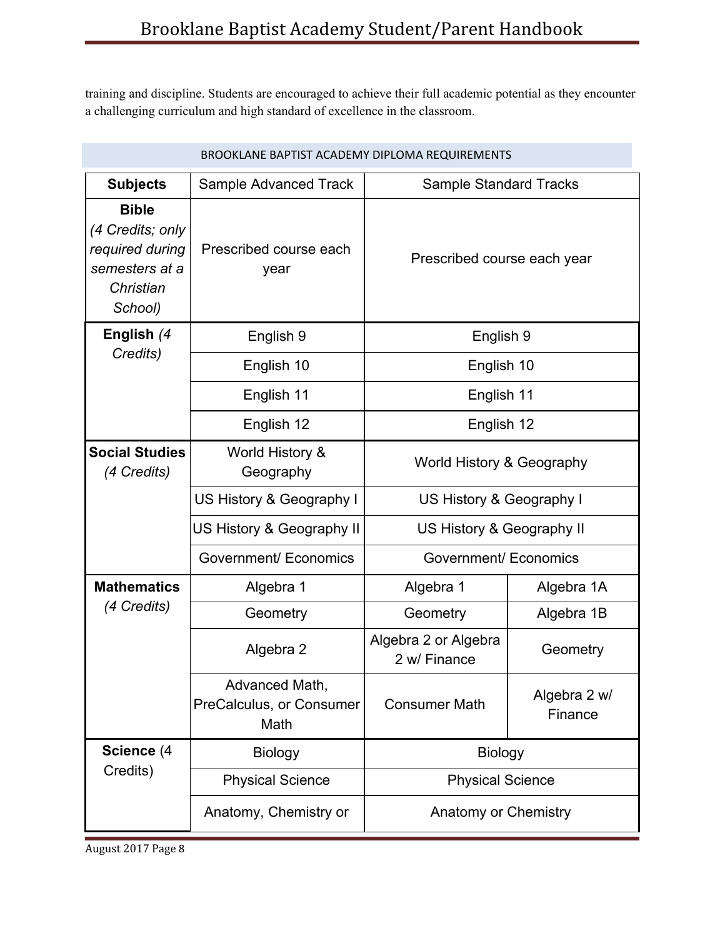training and discipline. Students are encouraged to achieve their full academic potential as they encounter a challenging curriculum and high standard of excellence in the classroom.

| BROOKLANE BAPTIST ACADEMY DIPLOMA REQUIREMENTS                                                |                                                    |                                      |                         |
|-----------------------------------------------------------------------------------------------|----------------------------------------------------|--------------------------------------|-------------------------|
| <b>Subjects</b>                                                                               | Sample Advanced Track                              | <b>Sample Standard Tracks</b>        |                         |
| <b>Bible</b><br>(4 Credits; only<br>required during<br>semesters at a<br>Christian<br>School) | Prescribed course each<br>year                     | Prescribed course each year          |                         |
| English (4<br>Credits)                                                                        | English 9                                          | English 9                            |                         |
|                                                                                               | English 10                                         | English 10                           |                         |
|                                                                                               | English 11                                         | English 11                           |                         |
| English 12                                                                                    |                                                    | English 12                           |                         |
| <b>Social Studies</b><br>(4 Credits)                                                          | World History &<br>Geography                       | World History & Geography            |                         |
|                                                                                               | US History & Geography I                           | US History & Geography I             |                         |
|                                                                                               | US History & Geography II                          | US History & Geography II            |                         |
|                                                                                               | <b>Government/ Economics</b>                       | Government/ Economics                |                         |
| <b>Mathematics</b>                                                                            | Algebra 1                                          | Algebra 1                            | Algebra 1A              |
| (4 Credits)                                                                                   | Geometry                                           | Geometry                             | Algebra 1B              |
|                                                                                               | Algebra 2                                          | Algebra 2 or Algebra<br>2 w/ Finance | Geometry                |
|                                                                                               | Advanced Math,<br>PreCalculus, or Consumer<br>Math | <b>Consumer Math</b>                 | Algebra 2 w/<br>Finance |
| Science (4<br>Credits)                                                                        | <b>Biology</b>                                     | <b>Biology</b>                       |                         |
|                                                                                               | <b>Physical Science</b>                            | <b>Physical Science</b>              |                         |
|                                                                                               | Anatomy, Chemistry or                              | <b>Anatomy or Chemistry</b>          |                         |

August 2017 Page 8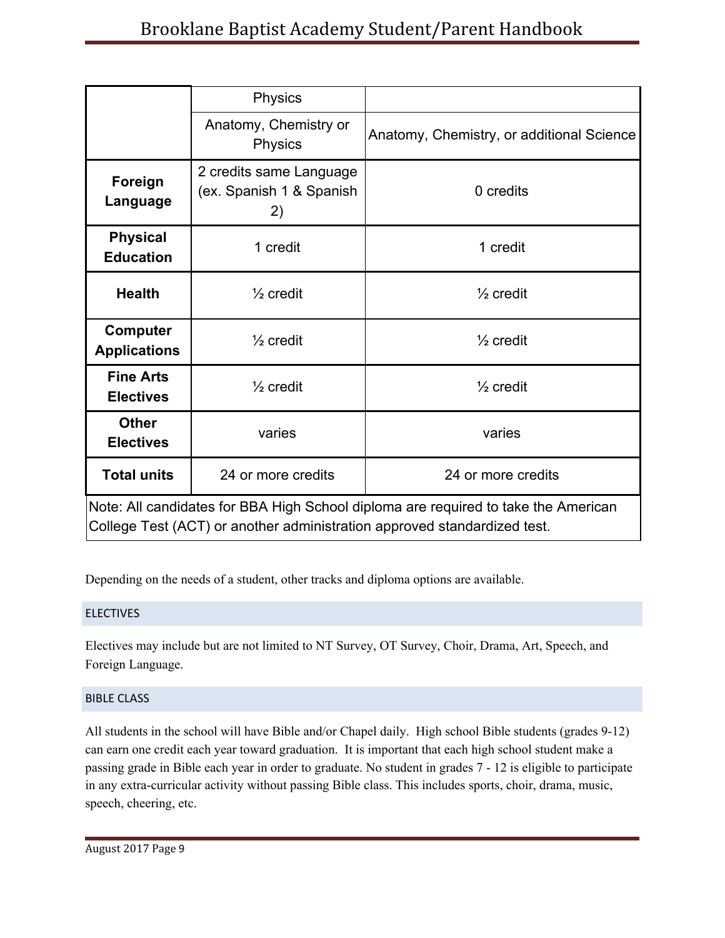|                                                                                                                                                                | <b>Physics</b>                                            |                                           |
|----------------------------------------------------------------------------------------------------------------------------------------------------------------|-----------------------------------------------------------|-------------------------------------------|
|                                                                                                                                                                | Anatomy, Chemistry or<br><b>Physics</b>                   | Anatomy, Chemistry, or additional Science |
| Foreign<br>Language                                                                                                                                            | 2 credits same Language<br>(ex. Spanish 1 & Spanish<br>2) | 0 credits                                 |
| <b>Physical</b><br><b>Education</b>                                                                                                                            | 1 credit                                                  | 1 credit                                  |
| <b>Health</b>                                                                                                                                                  | $\frac{1}{2}$ credit                                      | $\frac{1}{2}$ credit                      |
| <b>Computer</b><br><b>Applications</b>                                                                                                                         | $\frac{1}{2}$ credit                                      | $\frac{1}{2}$ credit                      |
| <b>Fine Arts</b><br><b>Electives</b>                                                                                                                           | $\frac{1}{2}$ credit                                      | $\frac{1}{2}$ credit                      |
| <b>Other</b><br><b>Electives</b>                                                                                                                               | varies                                                    | varies                                    |
| <b>Total units</b>                                                                                                                                             | 24 or more credits                                        | 24 or more credits                        |
| Note: All candidates for BBA High School diploma are required to take the American<br>College Test (ACT) or another administration approved standardized test. |                                                           |                                           |

Depending on the needs of a student, other tracks and diploma options are available.

# <span id="page-9-0"></span>**ELECTIVES**

Electives may include but are not limited to NT Survey, OT Survey, Choir, Drama, Art, Speech, and Foreign Language.

### <span id="page-9-1"></span>BIBLE CLASS

All students in the school will have Bible and/or Chapel daily. High school Bible students (grades 9-12) can earn one credit each year toward graduation. It is important that each high school student make a passing grade in Bible each year in order to graduate. No student in grades 7 - 12 is eligible to participate in any extra-curricular activity without passing Bible class. This includes sports, choir, drama, music, speech, cheering, etc.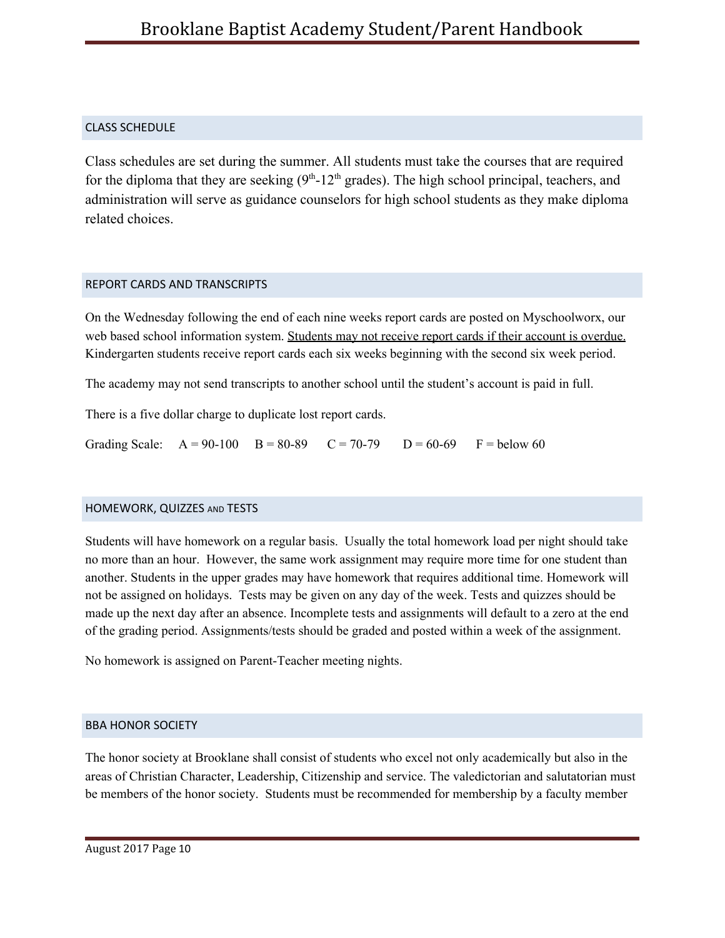# <span id="page-10-0"></span>CLASS SCHEDULE

Class schedules are set during the summer. All students must take the courses that are required for the diploma that they are seeking  $(9<sup>th</sup>-12<sup>th</sup>$  grades). The high school principal, teachers, and administration will serve as guidance counselors for high school students as they make diploma related choices.

## <span id="page-10-1"></span>REPORT CARDS AND TRANSCRIPTS

On the Wednesday following the end of each nine weeks report cards are posted on Myschoolworx, our web based school information system. Students may not receive report cards if their account is overdue. Kindergarten students receive report cards each six weeks beginning with the second six week period.

The academy may not send transcripts to another school until the student's account is paid in full.

There is a five dollar charge to duplicate lost report cards.

Grading Scale:  $A = 90-100$   $B = 80-89$   $C = 70-79$   $D = 60-69$   $F =$  below 60

# <span id="page-10-2"></span>HOMEWORK, QUIZZES AND TESTS

Students will have homework on a regular basis. Usually the total homework load per night should take no more than an hour. However, the same work assignment may require more time for one student than another. Students in the upper grades may have homework that requires additional time. Homework will not be assigned on holidays. Tests may be given on any day of the week. Tests and quizzes should be made up the next day after an absence. Incomplete tests and assignments will default to a zero at the end of the grading period. Assignments/tests should be graded and posted within a week of the assignment.

No homework is assigned on Parent-Teacher meeting nights.

# <span id="page-10-3"></span>BBA HONOR SOCIETY

The honor society at Brooklane shall consist of students who excel not only academically but also in the areas of Christian Character, Leadership, Citizenship and service. The valedictorian and salutatorian must be members of the honor society. Students must be recommended for membership by a faculty member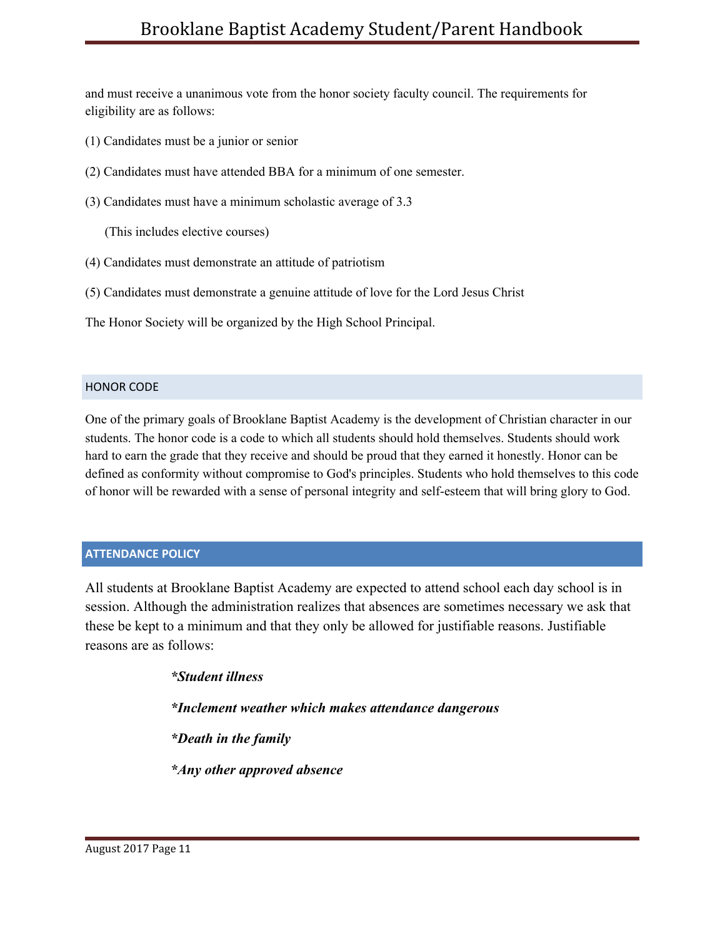and must receive a unanimous vote from the honor society faculty council. The requirements for eligibility are as follows:

- (1) Candidates must be a junior or senior
- (2) Candidates must have attended BBA for a minimum of one semester.
- (3) Candidates must have a minimum scholastic average of 3.3

(This includes elective courses)

- (4) Candidates must demonstrate an attitude of patriotism
- (5) Candidates must demonstrate a genuine attitude of love for the Lord Jesus Christ

The Honor Society will be organized by the High School Principal.

### <span id="page-11-0"></span>HONOR CODE

One of the primary goals of Brooklane Baptist Academy is the development of Christian character in our students. The honor code is a code to which all students should hold themselves. Students should work hard to earn the grade that they receive and should be proud that they earned it honestly. Honor can be defined as conformity without compromise to God's principles. Students who hold themselves to this code of honor will be rewarded with a sense of personal integrity and self-esteem that will bring glory to God.

### <span id="page-11-1"></span>**ATTENDANCE POLICY**

All students at Brooklane Baptist Academy are expected to attend school each day school is in session. Although the administration realizes that absences are sometimes necessary we ask that these be kept to a minimum and that they only be allowed for justifiable reasons. Justifiable reasons are as follows:

> *\*Student illness \*Inclement weather which makes attendance dangerous \*Death in the family \*Any other approved absence*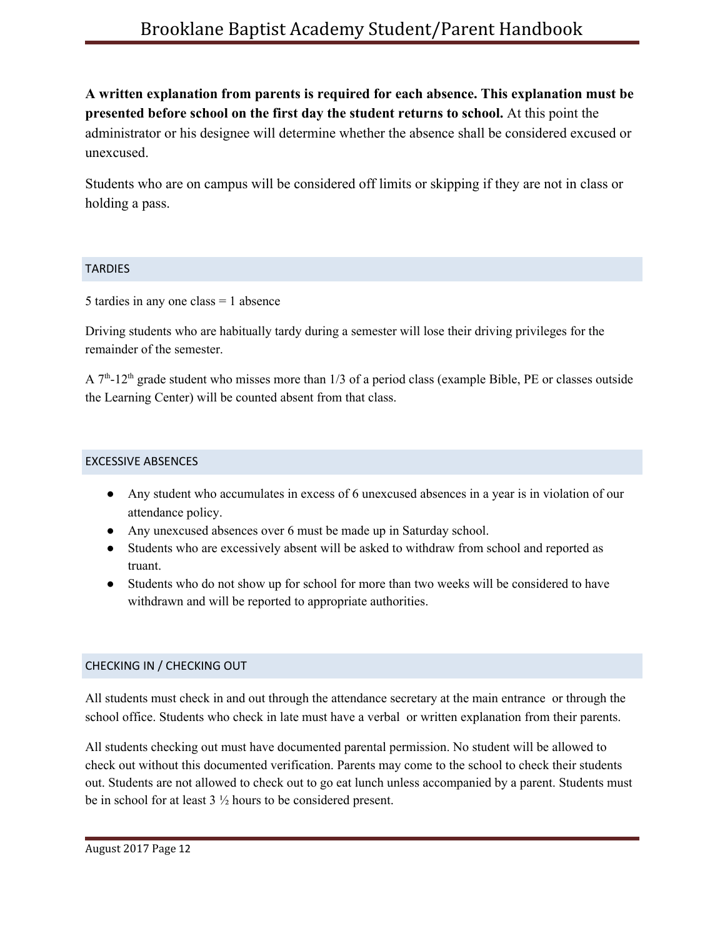**A written explanation from parents is required for each absence. This explanation must be presented before school on the first day the student returns to school.** At this point the administrator or his designee will determine whether the absence shall be considered excused or unexcused.

Students who are on campus will be considered off limits or skipping if they are not in class or holding a pass.

### <span id="page-12-0"></span>**TARDIES**

5 tardies in any one class = 1 absence

Driving students who are habitually tardy during a semester will lose their driving privileges for the remainder of the semester.

A  $7<sup>th</sup>$ -12<sup>th</sup> grade student who misses more than 1/3 of a period class (example Bible, PE or classes outside the Learning Center) will be counted absent from that class.

### <span id="page-12-1"></span>EXCESSIVE ABSENCES

- Any student who accumulates in excess of 6 unexcused absences in a year is in violation of our attendance policy.
- Any unexcused absences over 6 must be made up in Saturday school.
- Students who are excessively absent will be asked to withdraw from school and reported as truant.
- Students who do not show up for school for more than two weeks will be considered to have withdrawn and will be reported to appropriate authorities.

# <span id="page-12-2"></span>CHECKING IN / CHECKING OUT

All students must check in and out through the attendance secretary at the main entrance or through the school office. Students who check in late must have a verbal or written explanation from their parents.

All students checking out must have documented parental permission. No student will be allowed to check out without this documented verification. Parents may come to the school to check their students out. Students are not allowed to check out to go eat lunch unless accompanied by a parent. Students must be in school for at least 3 ½ hours to be considered present.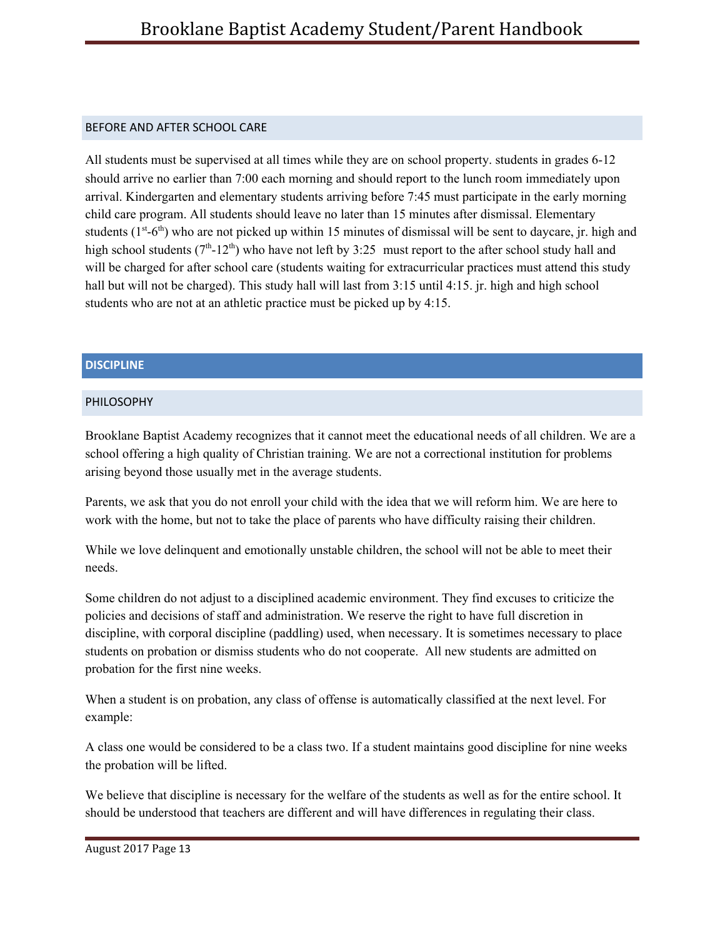## <span id="page-13-0"></span>BEFORE AND AFTER SCHOOL CARE

All students must be supervised at all times while they are on school property. students in grades 6-12 should arrive no earlier than 7:00 each morning and should report to the lunch room immediately upon arrival. Kindergarten and elementary students arriving before 7:45 must participate in the early morning child care program. All students should leave no later than 15 minutes after dismissal. Elementary students  $(1^{st} - 6^{th})$  who are not picked up within 15 minutes of dismissal will be sent to daycare, jr. high and high school students  $(7<sup>th</sup> - 12<sup>th</sup>)$  who have not left by 3:25 must report to the after school study hall and will be charged for after school care (students waiting for extracurricular practices must attend this study hall but will not be charged). This study hall will last from 3:15 until 4:15. jr. high and high school students who are not at an athletic practice must be picked up by 4:15.

# <span id="page-13-1"></span>**DISCIPLINE**

## <span id="page-13-2"></span>PHILOSOPHY

Brooklane Baptist Academy recognizes that it cannot meet the educational needs of all children. We are a school offering a high quality of Christian training. We are not a correctional institution for problems arising beyond those usually met in the average students.

Parents, we ask that you do not enroll your child with the idea that we will reform him. We are here to work with the home, but not to take the place of parents who have difficulty raising their children.

While we love delinquent and emotionally unstable children, the school will not be able to meet their needs.

Some children do not adjust to a disciplined academic environment. They find excuses to criticize the policies and decisions of staff and administration. We reserve the right to have full discretion in discipline, with corporal discipline (paddling) used, when necessary. It is sometimes necessary to place students on probation or dismiss students who do not cooperate. All new students are admitted on probation for the first nine weeks.

When a student is on probation, any class of offense is automatically classified at the next level. For example:

A class one would be considered to be a class two. If a student maintains good discipline for nine weeks the probation will be lifted.

We believe that discipline is necessary for the welfare of the students as well as for the entire school. It should be understood that teachers are different and will have differences in regulating their class.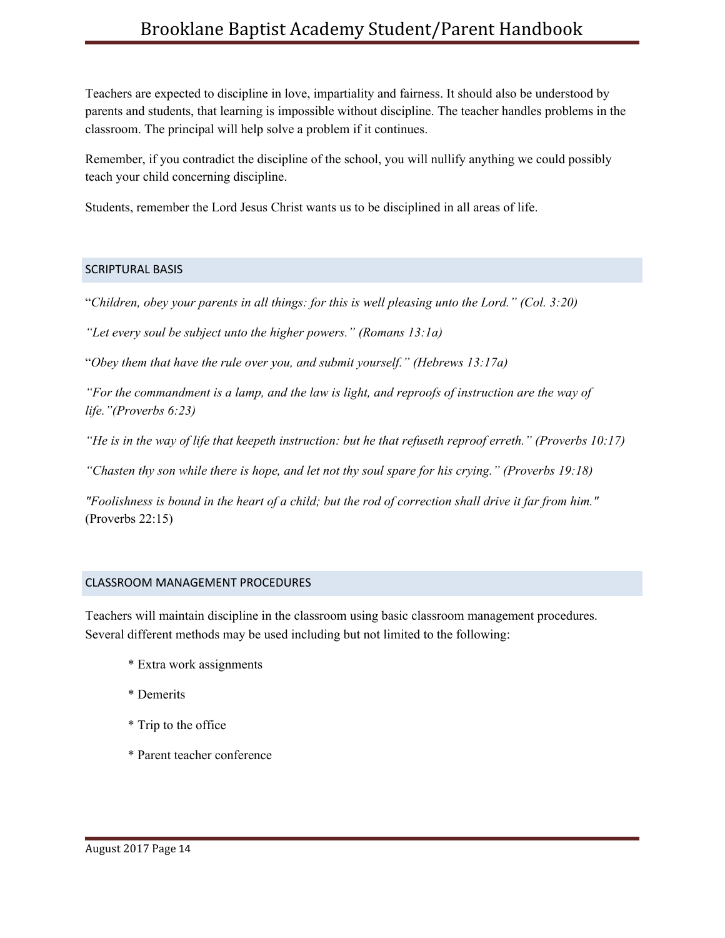Teachers are expected to discipline in love, impartiality and fairness. It should also be understood by parents and students, that learning is impossible without discipline. The teacher handles problems in the classroom. The principal will help solve a problem if it continues.

Remember, if you contradict the discipline of the school, you will nullify anything we could possibly teach your child concerning discipline.

Students, remember the Lord Jesus Christ wants us to be disciplined in all areas of life.

### <span id="page-14-0"></span>SCRIPTURAL BASIS

"*Children, obey your parents in all things: for this is well pleasing unto the Lord." (Col. 3:20)*

*"Let every soul be subject unto the higher powers." (Romans 13:1a)*

"*Obey them that have the rule over you, and submit yourself." (Hebrews 13:17a)*

"For the commandment is a lamp, and the law is light, and reproofs of instruction are the way of *life."(Proverbs 6:23)*

"He is in the way of life that keepeth instruction: but he that refuseth reproof erreth." (Proverbs  $10:17$ )

*"Chasten thy son while there is hope, and let not thy soul spare for his crying." (Proverbs 19:18)*

"Foolishness is bound in the heart of a child; but the rod of correction shall drive it far from him." (Proverbs 22:15)

### <span id="page-14-1"></span>CLASSROOM MANAGEMENT PROCEDURES

Teachers will maintain discipline in the classroom using basic classroom management procedures. Several different methods may be used including but not limited to the following:

- \* Extra work assignments
- \* Demerits
- \* Trip to the office
- \* Parent teacher conference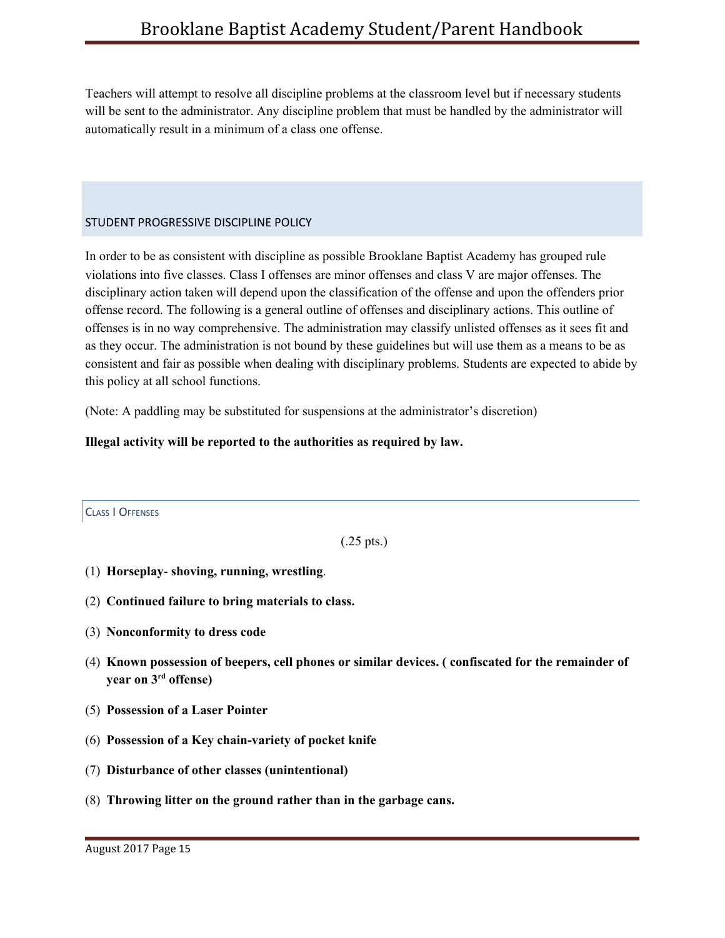Teachers will attempt to resolve all discipline problems at the classroom level but if necessary students will be sent to the administrator. Any discipline problem that must be handled by the administrator will automatically result in a minimum of a class one offense.

## <span id="page-15-0"></span>STUDENT PROGRESSIVE DISCIPLINE POLICY

In order to be as consistent with discipline as possible Brooklane Baptist Academy has grouped rule violations into five classes. Class I offenses are minor offenses and class V are major offenses. The disciplinary action taken will depend upon the classification of the offense and upon the offenders prior offense record. The following is a general outline of offenses and disciplinary actions. This outline of offenses is in no way comprehensive. The administration may classify unlisted offenses as it sees fit and as they occur. The administration is not bound by these guidelines but will use them as a means to be as consistent and fair as possible when dealing with disciplinary problems. Students are expected to abide by this policy at all school functions.

(Note: A paddling may be substituted for suspensions at the administrator's discretion)

## **Illegal activity will be reported to the authorities as required by law.**

<span id="page-15-1"></span>CLASS I OFFENSES

(.25 pts.)

- (1) **Horseplay shoving, running, wrestling**.
- (2) **Continued failure to bring materials to class.**
- (3) **Nonconformity to dress code**
- (4) **Known possession of beepers, cell phones or similar devices. ( confiscated for the remainder of year on 3 rd offense)**
- (5) **Possession of a Laser Pointer**
- (6) **Possession of a Key chain-variety of pocket knife**
- (7) **Disturbance of other classes (unintentional)**
- (8) **Throwing litter on the ground rather than in the garbage cans.**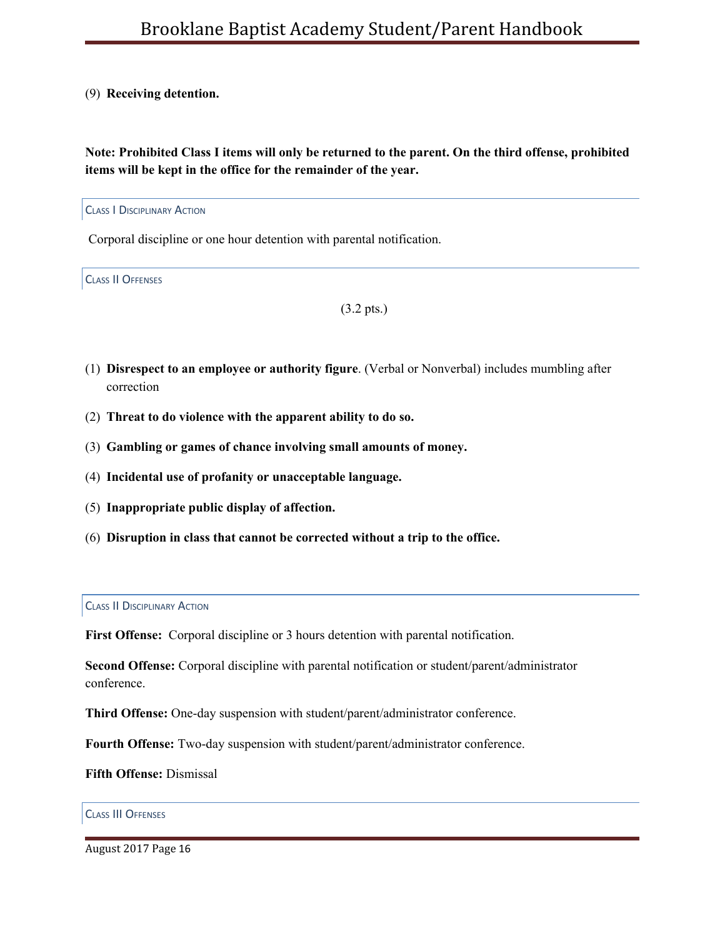### (9) **Receiving detention.**

**Note: Prohibited Class I items will only be returned to the parent. On the third offense, prohibited items will be kept in the office for the remainder of the year.**

<span id="page-16-0"></span>CLASS I DISCIPLINARY ACTION

Corporal discipline or one hour detention with parental notification.

<span id="page-16-1"></span>CLASS II OFFENSES

(3.2 pts.)

- (1) **Disrespect to an employee or authority figure**. (Verbal or Nonverbal) includes mumbling after correction
- (2) **Threat to do violence with the apparent ability to do so.**
- (3) **Gambling or games of chance involving small amounts of money.**
- (4) **Incidental use of profanity or unacceptable language.**
- (5) **Inappropriate public display of affection.**
- (6) **Disruption in class that cannot be corrected without a trip to the office.**

<span id="page-16-2"></span>**CLASS II DISCIPLINARY ACTION** 

**First Offense:** Corporal discipline or 3 hours detention with parental notification.

**Second Offense:** Corporal discipline with parental notification or student/parent/administrator conference.

**Third Offense:** One-day suspension with student/parent/administrator conference.

**Fourth Offense:** Two-day suspension with student/parent/administrator conference.

**Fifth Offense:** Dismissal

### <span id="page-16-3"></span>CLASS III OFFENSES

August 2017 Page 16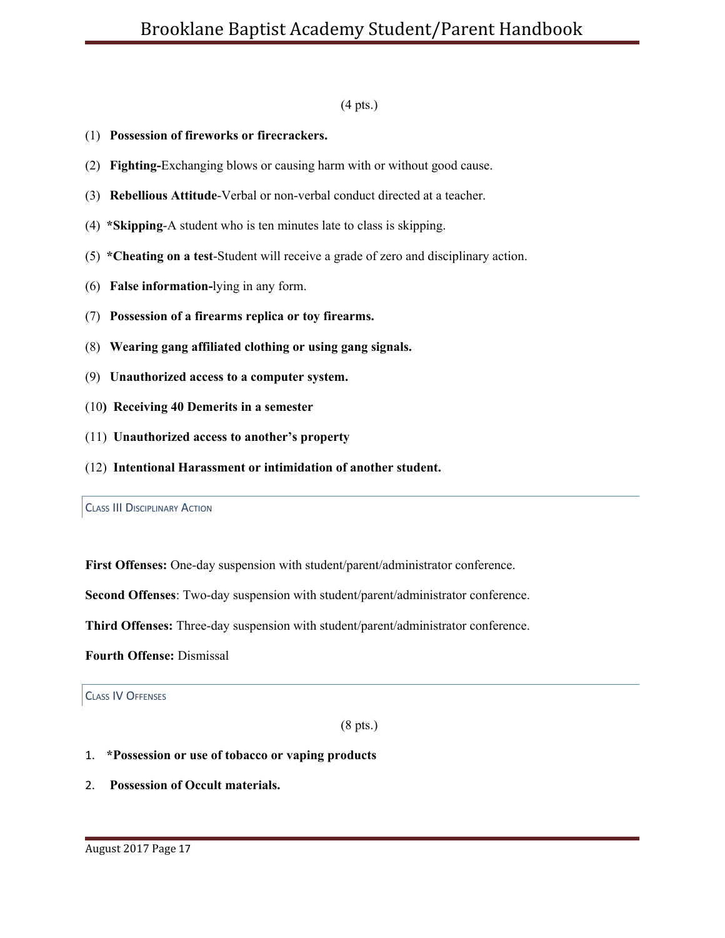### (4 pts.)

- (1) **Possession of fireworks or firecrackers.**
- (2) **Fighting-**Exchanging blows or causing harm with or without good cause.
- (3) **Rebellious Attitude**-Verbal or non-verbal conduct directed at a teacher.
- (4) **\*Skipping**-A student who is ten minutes late to class is skipping.
- (5) **\*Cheating on a test**-Student will receive a grade of zero and disciplinary action.
- (6) **False information-**lying in any form.
- (7) **Possession of a firearms replica or toy firearms.**
- (8) **Wearing gang affiliated clothing or using gang signals.**
- (9) **Unauthorized access to a computer system.**
- (10**) Receiving 40 Demerits in a semester**
- (11) **Unauthorized access to another's property**
- (12) **Intentional Harassment or intimidation of another student.**

<span id="page-17-0"></span>CLASS III DISCIPLINARY ACTION

**First Offenses:** One-day suspension with student/parent/administrator conference.

**Second Offenses**: Two-day suspension with student/parent/administrator conference.

**Third Offenses:** Three-day suspension with student/parent/administrator conference.

**Fourth Offense:** Dismissal

<span id="page-17-1"></span>CLASS IV OFFENSES

(8 pts.)

# 1. **\*Possession or use of tobacco or vaping products**

2. **Possession of Occult materials.**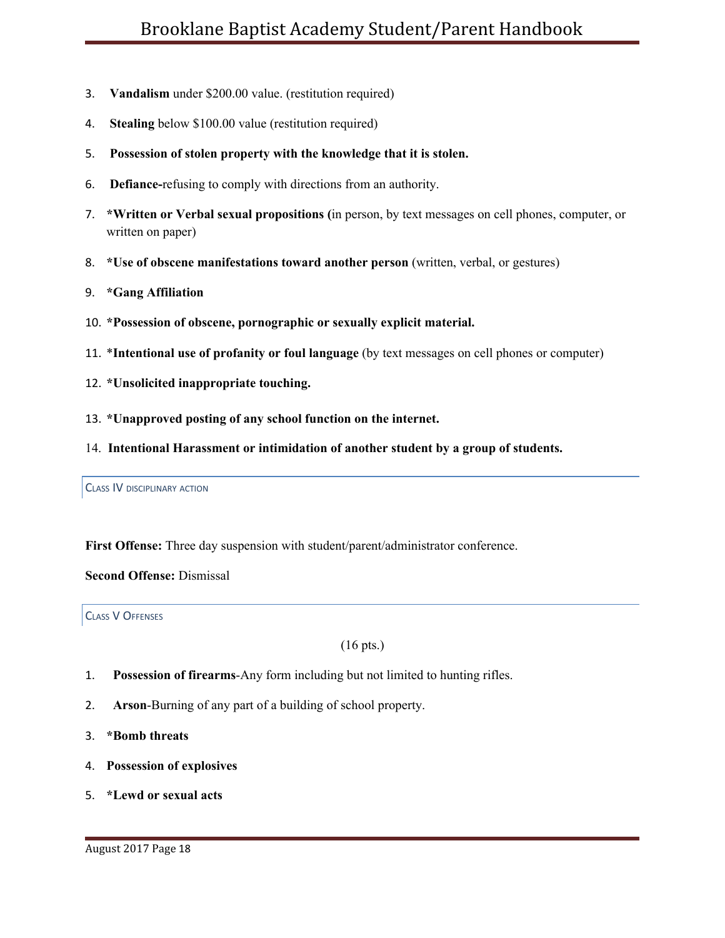- 3. **Vandalism** under \$200.00 value. (restitution required)
- 4. **Stealing** below \$100.00 value (restitution required)
- 5. **Possession of stolen property with the knowledge that it is stolen.**
- 6. **Defiance-**refusing to comply with directions from an authority.
- 7. **\*Written or Verbal sexual propositions (**in person, by text messages on cell phones, computer, or written on paper)
- 8. **\*Use of obscene manifestations toward another person** (written, verbal, or gestures)
- 9. **\*Gang Affiliation**
- 10. **\*Possession of obscene, pornographic or sexually explicit material.**
- 11. \***Intentional use of profanity or foul language** (by text messages on cell phones or computer)
- 12. **\*Unsolicited inappropriate touching.**
- 13. **\*Unapproved posting of any school function on the internet.**
- 14. **Intentional Harassment or intimidation of another student by a group of students.**

<span id="page-18-0"></span>CLASS IV DISCIPLINARY ACTION

**First Offense:** Three day suspension with student/parent/administrator conference.

**Second Offense:** Dismissal

### <span id="page-18-1"></span>CLASS V OFFENSES

(16 pts.)

- 1. **Possession of firearms**-Any form including but not limited to hunting rifles.
- 2. **Arson**-Burning of any part of a building of school property.
- 3. **\*Bomb threats**
- 4. **Possession of explosives**
- 5. **\*Lewd or sexual acts**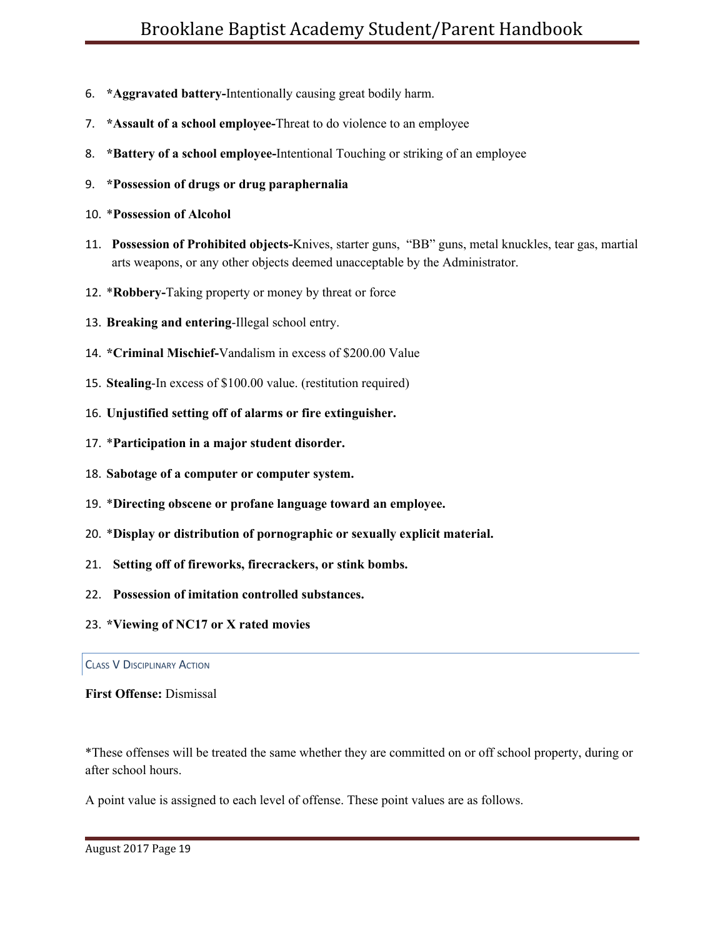- 6. **\*Aggravated battery-**Intentionally causing great bodily harm.
- 7. **\*Assault of a school employee-**Threat to do violence to an employee
- 8. **\*Battery of a school employee-**Intentional Touching or striking of an employee
- 9. **\*Possession of drugs or drug paraphernalia**
- 10. \***Possession of Alcohol**
- 11. **Possession of Prohibited objects-**Knives, starter guns, "BB" guns, metal knuckles, tear gas, martial arts weapons, or any other objects deemed unacceptable by the Administrator.
- 12. \***Robbery-**Taking property or money by threat or force
- 13. **Breaking and entering**-Illegal school entry.
- 14. **\*Criminal Mischief-**Vandalism in excess of \$200.00 Value
- 15. **Stealing**-In excess of \$100.00 value. (restitution required)
- 16. **Unjustified setting off of alarms or fire extinguisher.**
- 17. \***Participation in a major student disorder.**
- 18. **Sabotage of a computer or computer system.**
- 19. \***Directing obscene or profane language toward an employee.**
- 20. \***Display or distribution of pornographic or sexually explicit material.**
- 21. **Setting off of fireworks, firecrackers, or stink bombs.**
- 22. **Possession of imitation controlled substances.**
- 23. **\*Viewing of NC17 or X rated movies**

### <span id="page-19-0"></span>CLASS V DISCIPLINARY ACTION

**First Offense:** Dismissal

\*These offenses will be treated the same whether they are committed on or off school property, during or after school hours.

A point value is assigned to each level of offense. These point values are as follows.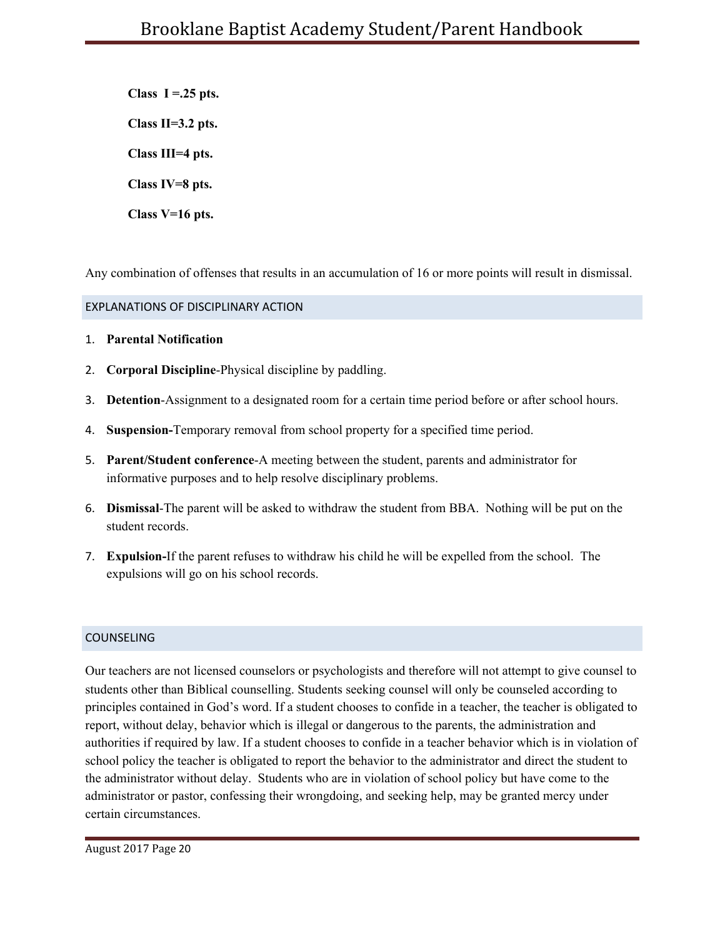**Class I =.25 pts. Class II=3.2 pts. Class III=4 pts. Class IV=8 pts. Class V=16 pts.**

Any combination of offenses that results in an accumulation of 16 or more points will result in dismissal.

# <span id="page-20-0"></span>EXPLANATIONS OF DISCIPLINARY ACTION

- 1. **Parental Notification**
- 2. **Corporal Discipline**-Physical discipline by paddling.
- 3. **Detention**-Assignment to a designated room for a certain time period before or after school hours.
- 4. **Suspension-**Temporary removal from school property for a specified time period.
- 5. **Parent/Student conference**-A meeting between the student, parents and administrator for informative purposes and to help resolve disciplinary problems.
- 6. **Dismissal**-The parent will be asked to withdraw the student from BBA. Nothing will be put on the student records.
- 7. **Expulsion-**If the parent refuses to withdraw his child he will be expelled from the school. The expulsions will go on his school records.

# <span id="page-20-1"></span>COUNSELING

Our teachers are not licensed counselors or psychologists and therefore will not attempt to give counsel to students other than Biblical counselling. Students seeking counsel will only be counseled according to principles contained in God's word. If a student chooses to confide in a teacher, the teacher is obligated to report, without delay, behavior which is illegal or dangerous to the parents, the administration and authorities if required by law. If a student chooses to confide in a teacher behavior which is in violation of school policy the teacher is obligated to report the behavior to the administrator and direct the student to the administrator without delay. Students who are in violation of school policy but have come to the administrator or pastor, confessing their wrongdoing, and seeking help, may be granted mercy under certain circumstances.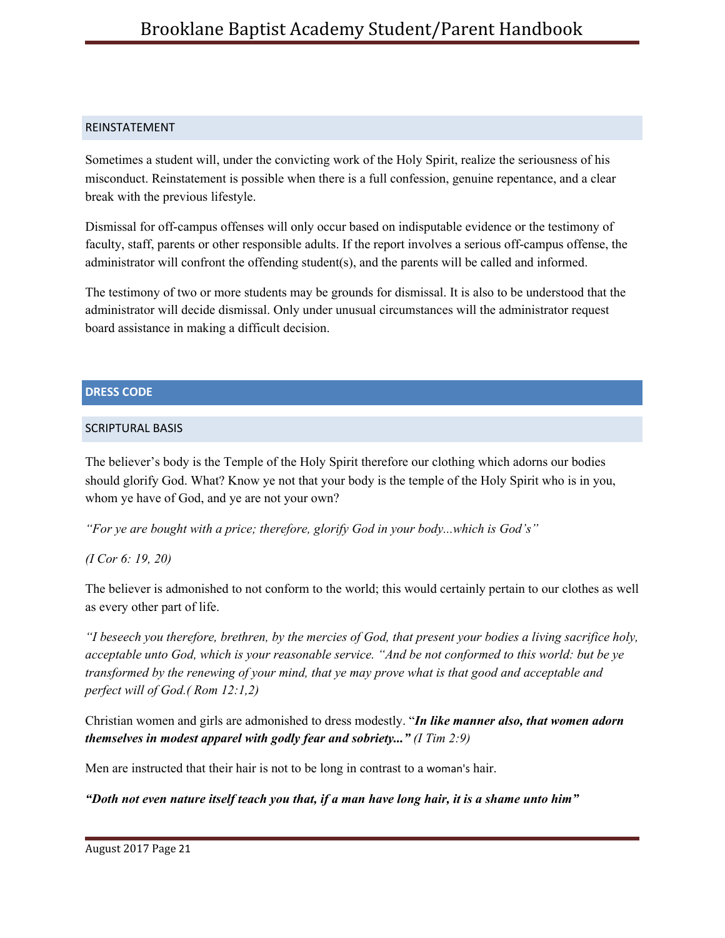## <span id="page-21-0"></span>REINSTATEMENT

Sometimes a student will, under the convicting work of the Holy Spirit, realize the seriousness of his misconduct. Reinstatement is possible when there is a full confession, genuine repentance, and a clear break with the previous lifestyle.

Dismissal for off-campus offenses will only occur based on indisputable evidence or the testimony of faculty, staff, parents or other responsible adults. If the report involves a serious off-campus offense, the administrator will confront the offending student(s), and the parents will be called and informed.

The testimony of two or more students may be grounds for dismissal. It is also to be understood that the administrator will decide dismissal. Only under unusual circumstances will the administrator request board assistance in making a difficult decision.

## <span id="page-21-1"></span>**DRESS CODE**

## <span id="page-21-2"></span>SCRIPTURAL BASIS

The believer's body is the Temple of the Holy Spirit therefore our clothing which adorns our bodies should glorify God. What? Know ye not that your body is the temple of the Holy Spirit who is in you, whom ye have of God, and ye are not your own?

*"For ye are bought with a price; therefore, glorify God in your body...which is God's"*

# *(I Cor 6: 19, 20)*

The believer is admonished to not conform to the world; this would certainly pertain to our clothes as well as every other part of life.

"I beseech you therefore, brethren, by the mercies of God, that present your bodies a living sacrifice holy, acceptable unto God, which is your reasonable service. "And be not conformed to this world: but be ye *transformed by the renewing of your mind, that ye may prove what is that good and acceptable and perfect will of God.( Rom 12:1,2)*

Christian women and girls are admonished to dress modestly. "*In like manner also, that women adorn themselves in modest apparel with godly fear and sobriety..." (I Tim 2:9)*

Men are instructed that their hair is not to be long in contrast to a woman's hair.

"Doth not even nature itself teach you that, if a man have long hair, it is a shame unto him"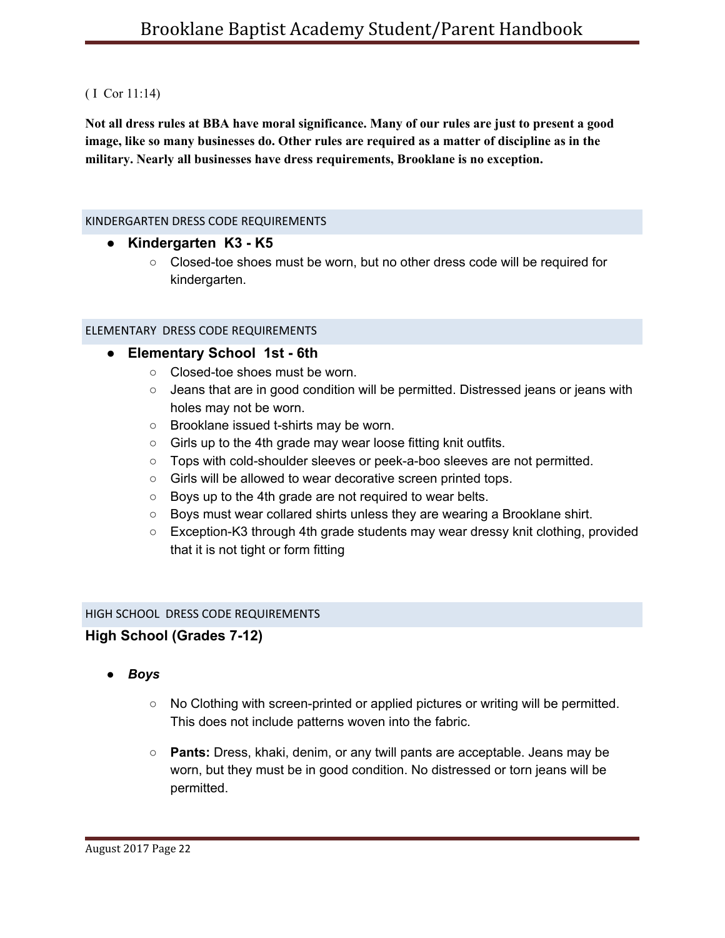## ( I Cor 11:14)

Not all dress rules at BBA have moral significance. Many of our rules are just to present a good **image, like so many businesses do. Other rules are required as a matter of discipline as in the military. Nearly all businesses have dress requirements, Brooklane is no exception.**

### <span id="page-22-0"></span>KINDERGARTEN DRESS CODE REQUIREMENTS

- **● Kindergarten K3 K5**
	- Closed-toe shoes must be worn, but no other dress code will be required for kindergarten.

## ELEMENTARY DRESS CODE REQUIREMENTS

- **● Elementary School 1st 6th**
	- Closed-toe shoes must be worn.
	- Jeans that are in good condition will be permitted. Distressed jeans or jeans with holes may not be worn.
	- Brooklane issued t-shirts may be worn.
	- Girls up to the 4th grade may wear loose fitting knit outfits.
	- Tops with cold-shoulder sleeves or peek-a-boo sleeves are not permitted.
	- Girls will be allowed to wear decorative screen printed tops.
	- Boys up to the 4th grade are not required to wear belts.
	- Boys must wear collared shirts unless they are wearing a Brooklane shirt.
	- Exception-K3 through 4th grade students may wear dressy knit clothing, provided that it is not tight or form fitting

# HIGH SCHOOL DRESS CODE REQUIREMENTS

# **High School (Grades 7-12)**

- *● Boys*
	- No Clothing with screen-printed or applied pictures or writing will be permitted. This does not include patterns woven into the fabric.
	- **Pants:** Dress, khaki, denim, or any twill pants are acceptable. Jeans may be worn, but they must be in good condition. No distressed or torn jeans will be permitted.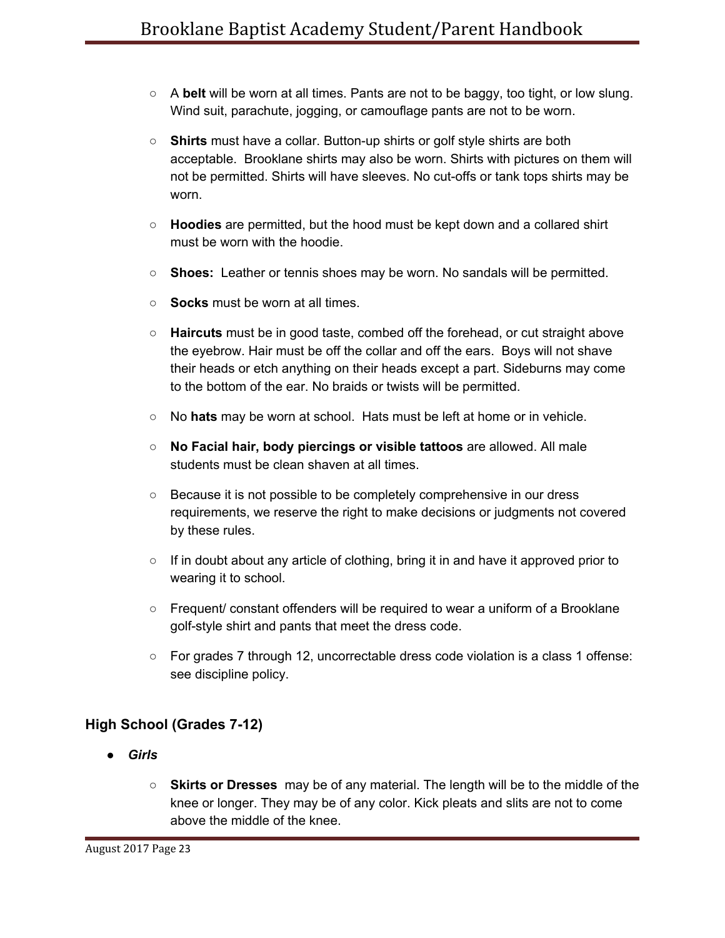- A **belt** will be worn at all times. Pants are not to be baggy, too tight, or low slung. Wind suit, parachute, jogging, or camouflage pants are not to be worn.
- **Shirts** must have a collar. Button-up shirts or golf style shirts are both acceptable. Brooklane shirts may also be worn. Shirts with pictures on them will not be permitted. Shirts will have sleeves. No cut-offs or tank tops shirts may be worn.
- **Hoodies** are permitted, but the hood must be kept down and a collared shirt must be worn with the hoodie.
- **Shoes:** Leather or tennis shoes may be worn. No sandals will be permitted.
- **Socks** must be worn at all times.
- **Haircuts** must be in good taste, combed off the forehead, or cut straight above the eyebrow. Hair must be off the collar and off the ears. Boys will not shave their heads or etch anything on their heads except a part. Sideburns may come to the bottom of the ear. No braids or twists will be permitted.
- No **hats** may be worn at school. Hats must be left at home or in vehicle.
- **No Facial hair, body piercings or visible tattoos** are allowed. All male students must be clean shaven at all times.
- Because it is not possible to be completely comprehensive in our dress requirements, we reserve the right to make decisions or judgments not covered by these rules.
- If in doubt about any article of clothing, bring it in and have it approved prior to wearing it to school.
- Frequent/ constant offenders will be required to wear a uniform of a Brooklane golf-style shirt and pants that meet the dress code.
- For grades 7 through 12, uncorrectable dress code violation is a class 1 offense: see discipline policy.

# **High School (Grades 7-12)**

- *● Girls*
	- **Skirts or Dresses** may be of any material. The length will be to the middle of the knee or longer. They may be of any color. Kick pleats and slits are not to come above the middle of the knee.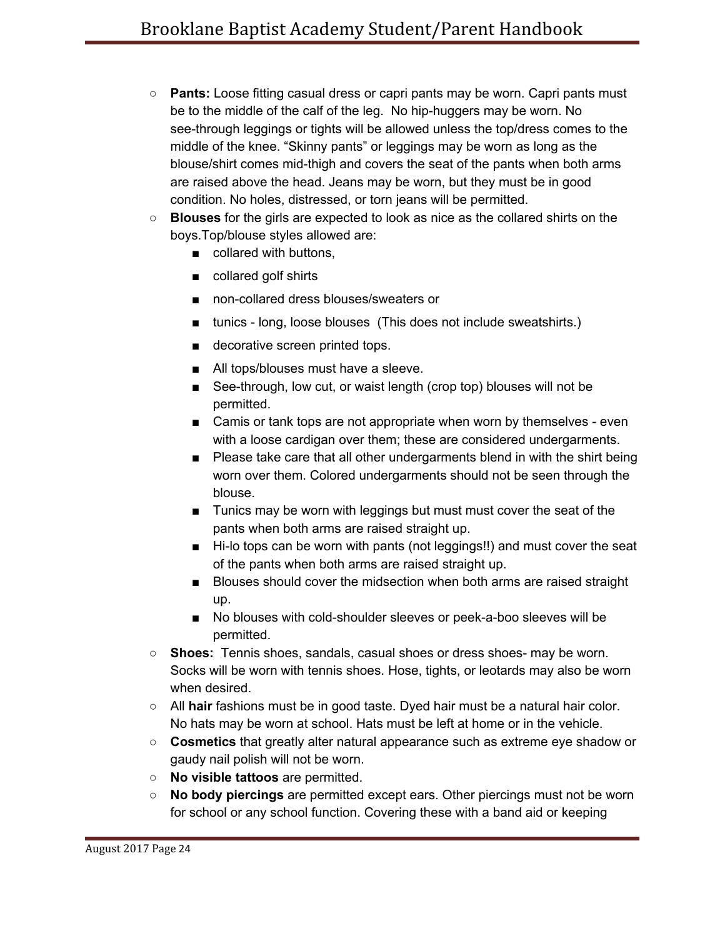- **Pants:** Loose fitting casual dress or capri pants may be worn. Capri pants must be to the middle of the calf of the leg. No hip-huggers may be worn. No see-through leggings or tights will be allowed unless the top/dress comes to the middle of the knee. "Skinny pants" or leggings may be worn as long as the blouse/shirt comes mid-thigh and covers the seat of the pants when both arms are raised above the head. Jeans may be worn, but they must be in good condition. No holes, distressed, or torn jeans will be permitted.
- **Blouses** for the girls are expected to look as nice as the collared shirts on the boys.Top/blouse styles allowed are:
	- collared with buttons,
	- collared golf shirts
	- non-collared dress blouses/sweaters or
	- tunics long, loose blouses (This does not include sweatshirts.)
	- decorative screen printed tops.
	- All tops/blouses must have a sleeve.
	- See-through, low cut, or waist length (crop top) blouses will not be permitted.
	- Camis or tank tops are not appropriate when worn by themselves even with a loose cardigan over them; these are considered undergarments.
	- Please take care that all other undergarments blend in with the shirt being worn over them. Colored undergarments should not be seen through the blouse.
	- Tunics may be worn with leggings but must must cover the seat of the pants when both arms are raised straight up.
	- Hi-lo tops can be worn with pants (not leggings!!) and must cover the seat of the pants when both arms are raised straight up.
	- Blouses should cover the midsection when both arms are raised straight up.
	- No blouses with cold-shoulder sleeves or peek-a-boo sleeves will be permitted.
- **Shoes:** Tennis shoes, sandals, casual shoes or dress shoes- may be worn. Socks will be worn with tennis shoes. Hose, tights, or leotards may also be worn when desired.
- All **hair** fashions must be in good taste. Dyed hair must be a natural hair color. No hats may be worn at school. Hats must be left at home or in the vehicle.
- **Cosmetics** that greatly alter natural appearance such as extreme eye shadow or gaudy nail polish will not be worn.
- **No visible tattoos** are permitted.
- **No body piercings** are permitted except ears. Other piercings must not be worn for school or any school function. Covering these with a band aid or keeping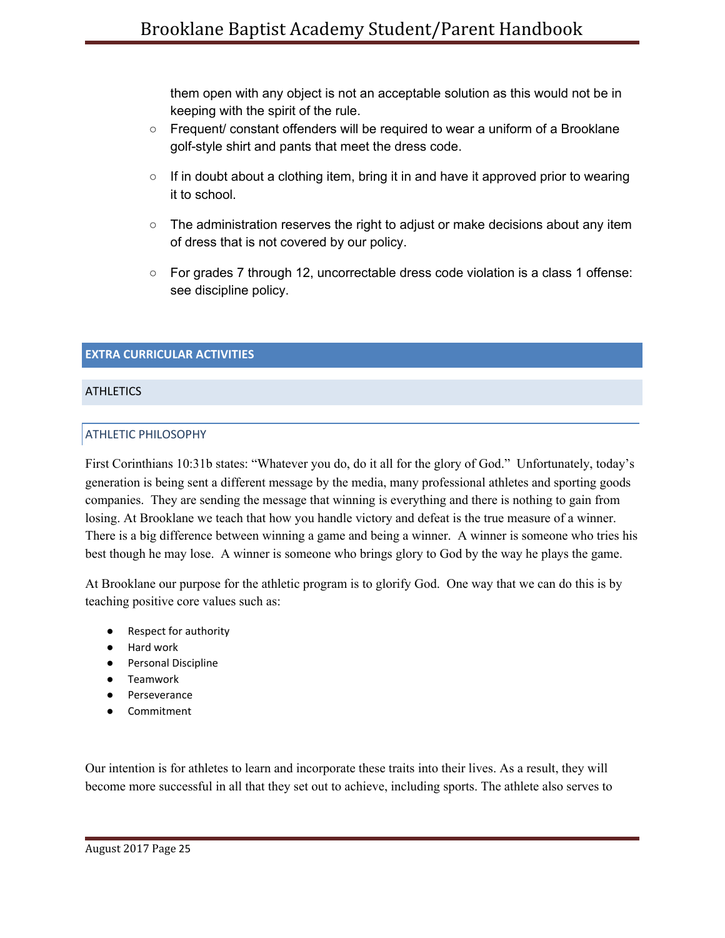them open with any object is not an acceptable solution as this would not be in keeping with the spirit of the rule.

- Frequent/ constant offenders will be required to wear a uniform of a Brooklane golf-style shirt and pants that meet the dress code.
- $\circ$  If in doubt about a clothing item, bring it in and have it approved prior to wearing it to school.
- $\circ$  The administration reserves the right to adjust or make decisions about any item of dress that is not covered by our policy.
- For grades 7 through 12, uncorrectable dress code violation is a class 1 offense: see discipline policy.

# <span id="page-25-0"></span>**EXTRA CURRICULAR ACTIVITIES**

# <span id="page-25-2"></span><span id="page-25-1"></span>**ATHLETICS**

## ATHLETIC PHILOSOPHY

First Corinthians 10:31b states: "Whatever you do, do it all for the glory of God." Unfortunately, today's generation is being sent a different message by the media, many professional athletes and sporting goods companies. They are sending the message that winning is everything and there is nothing to gain from losing. At Brooklane we teach that how you handle victory and defeat is the true measure of a winner. There is a big difference between winning a game and being a winner. A winner is someone who tries his best though he may lose. A winner is someone who brings glory to God by the way he plays the game.

At Brooklane our purpose for the athletic program is to glorify God. One way that we can do this is by teaching positive core values such as:

- Respect for authority
- Hard work
- Personal Discipline
- Teamwork
- Perseverance
- Commitment

Our intention is for athletes to learn and incorporate these traits into their lives. As a result, they will become more successful in all that they set out to achieve, including sports. The athlete also serves to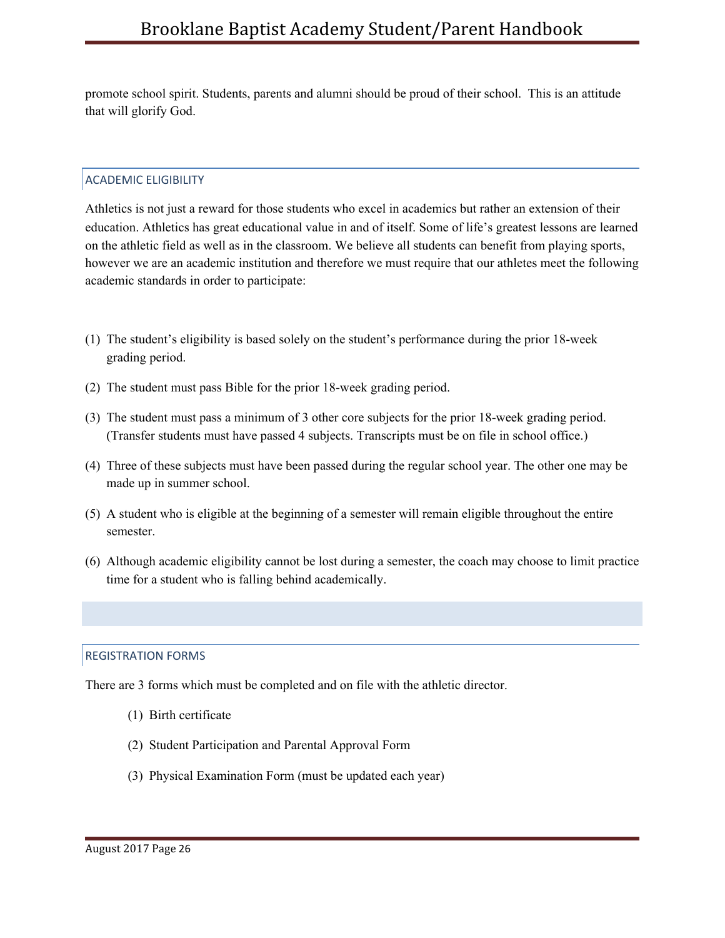promote school spirit. Students, parents and alumni should be proud of their school. This is an attitude that will glorify God.

# <span id="page-26-0"></span>ACADEMIC ELIGIBILITY

Athletics is not just a reward for those students who excel in academics but rather an extension of their education. Athletics has great educational value in and of itself. Some of life's greatest lessons are learned on the athletic field as well as in the classroom. We believe all students can benefit from playing sports, however we are an academic institution and therefore we must require that our athletes meet the following academic standards in order to participate:

- (1) The student's eligibility is based solely on the student's performance during the prior 18-week grading period.
- (2) The student must pass Bible for the prior 18-week grading period.
- (3) The student must pass a minimum of 3 other core subjects for the prior 18-week grading period. (Transfer students must have passed 4 subjects. Transcripts must be on file in school office.)
- (4) Three of these subjects must have been passed during the regular school year. The other one may be made up in summer school.
- (5) A student who is eligible at the beginning of a semester will remain eligible throughout the entire semester.
- (6) Although academic eligibility cannot be lost during a semester, the coach may choose to limit practice time for a student who is falling behind academically.

### <span id="page-26-1"></span>REGISTRATION FORMS

There are 3 forms which must be completed and on file with the athletic director.

- (1) Birth certificate
- (2) Student Participation and Parental Approval Form
- (3) Physical Examination Form (must be updated each year)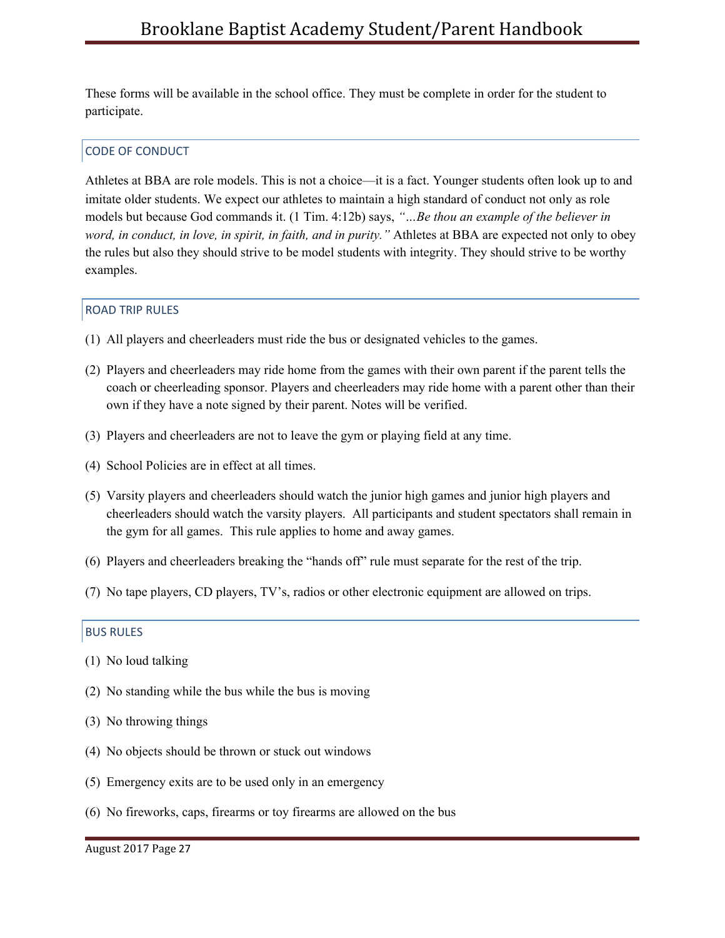These forms will be available in the school office. They must be complete in order for the student to participate.

## <span id="page-27-0"></span>CODE OF CONDUCT

Athletes at BBA are role models. This is not a choice—it is a fact. Younger students often look up to and imitate older students. We expect our athletes to maintain a high standard of conduct not only as role models but because God commands it. (1 Tim. 4:12b) says, *"…Be thou an example of the believer in word, in conduct, in love, in spirit, in faith, and in purity."* Athletes at BBA are expected not only to obey the rules but also they should strive to be model students with integrity. They should strive to be worthy examples.

### <span id="page-27-1"></span>ROAD TRIP RULES

- (1) All players and cheerleaders must ride the bus or designated vehicles to the games.
- (2) Players and cheerleaders may ride home from the games with their own parent if the parent tells the coach or cheerleading sponsor. Players and cheerleaders may ride home with a parent other than their own if they have a note signed by their parent. Notes will be verified.
- (3) Players and cheerleaders are not to leave the gym or playing field at any time.
- (4) School Policies are in effect at all times.
- (5) Varsity players and cheerleaders should watch the junior high games and junior high players and cheerleaders should watch the varsity players. All participants and student spectators shall remain in the gym for all games. This rule applies to home and away games.
- (6) Players and cheerleaders breaking the "hands off" rule must separate for the rest of the trip.
- (7) No tape players, CD players, TV's, radios or other electronic equipment are allowed on trips.

## <span id="page-27-2"></span>BUS RULES

- (1) No loud talking
- (2) No standing while the bus while the bus is moving
- (3) No throwing things
- (4) No objects should be thrown or stuck out windows
- (5) Emergency exits are to be used only in an emergency
- (6) No fireworks, caps, firearms or toy firearms are allowed on the bus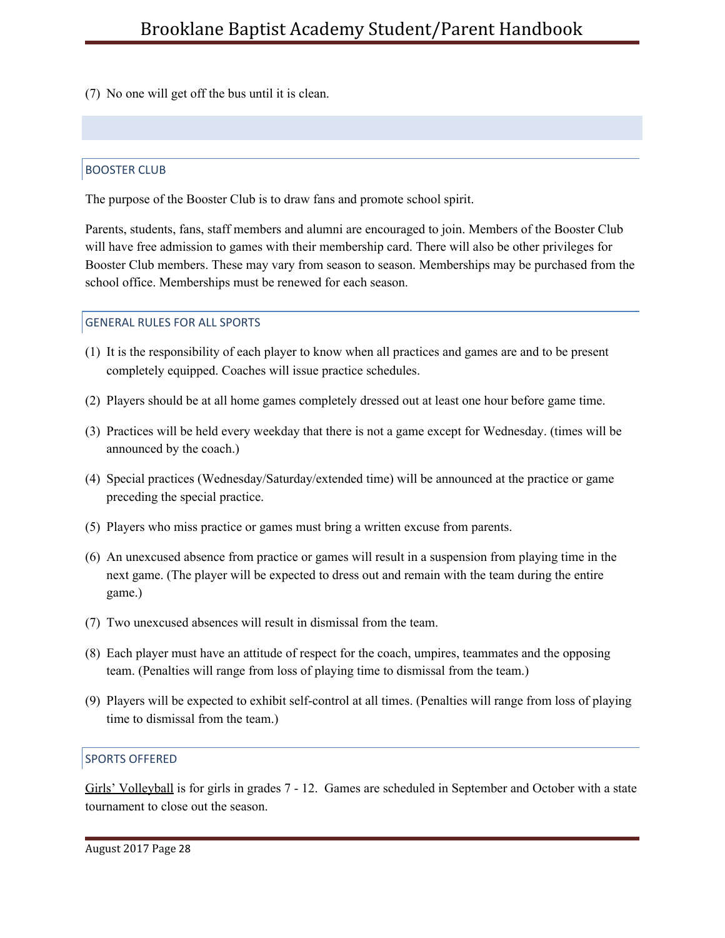(7) No one will get off the bus until it is clean.

## <span id="page-28-0"></span>BOOSTER CLUB

The purpose of the Booster Club is to draw fans and promote school spirit.

Parents, students, fans, staff members and alumni are encouraged to join. Members of the Booster Club will have free admission to games with their membership card. There will also be other privileges for Booster Club members. These may vary from season to season. Memberships may be purchased from the school office. Memberships must be renewed for each season.

### <span id="page-28-1"></span>GENERAL RULES FOR ALL SPORTS

- (1) It is the responsibility of each player to know when all practices and games are and to be present completely equipped. Coaches will issue practice schedules.
- (2) Players should be at all home games completely dressed out at least one hour before game time.
- (3) Practices will be held every weekday that there is not a game except for Wednesday. (times will be announced by the coach.)
- (4) Special practices (Wednesday/Saturday/extended time) will be announced at the practice or game preceding the special practice.
- (5) Players who miss practice or games must bring a written excuse from parents.
- (6) An unexcused absence from practice or games will result in a suspension from playing time in the next game. (The player will be expected to dress out and remain with the team during the entire game.)
- (7) Two unexcused absences will result in dismissal from the team.
- (8) Each player must have an attitude of respect for the coach, umpires, teammates and the opposing team. (Penalties will range from loss of playing time to dismissal from the team.)
- (9) Players will be expected to exhibit self-control at all times. (Penalties will range from loss of playing time to dismissal from the team.)

### <span id="page-28-2"></span>SPORTS OFFERED

Girls' Volleyball is for girls in grades 7 - 12. Games are scheduled in September and October with a state tournament to close out the season.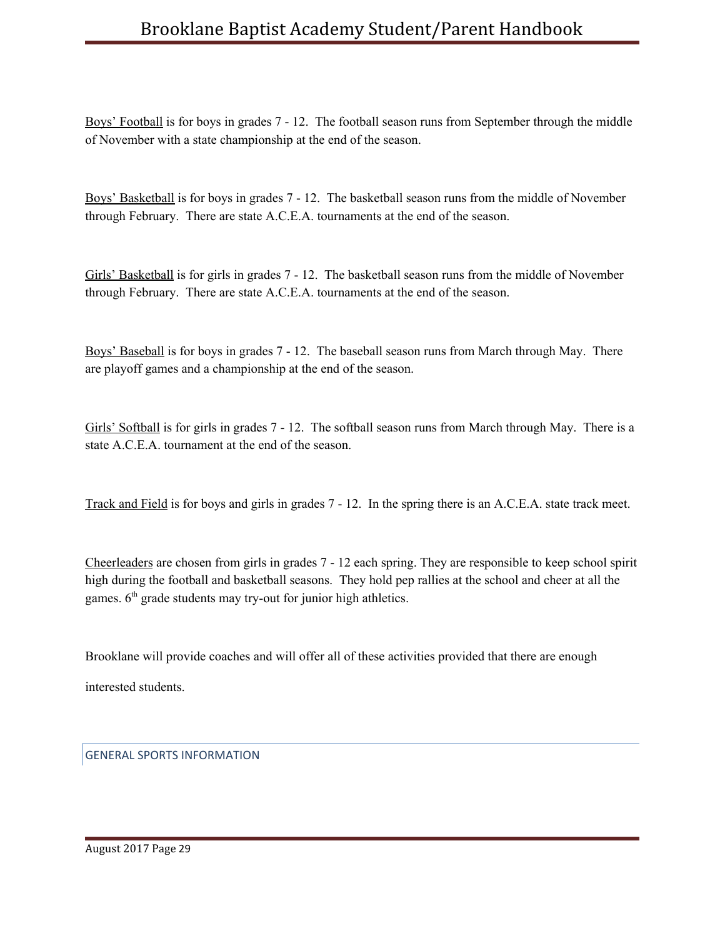Boys' Football is for boys in grades 7 - 12. The football season runs from September through the middle of November with a state championship at the end of the season.

Boys' Basketball is for boys in grades 7 - 12. The basketball season runs from the middle of November through February. There are state A.C.E.A. tournaments at the end of the season.

Girls' Basketball is for girls in grades 7 - 12. The basketball season runs from the middle of November through February. There are state A.C.E.A. tournaments at the end of the season.

Boys' Baseball is for boys in grades 7 - 12. The baseball season runs from March through May. There are playoff games and a championship at the end of the season.

Girls' Softball is for girls in grades 7 - 12. The softball season runs from March through May. There is a state A.C.E.A. tournament at the end of the season.

Track and Field is for boys and girls in grades 7 - 12. In the spring there is an A.C.E.A. state track meet.

Cheerleaders are chosen from girls in grades 7 - 12 each spring. They are responsible to keep school spirit high during the football and basketball seasons. They hold pep rallies at the school and cheer at all the games. 6<sup>th</sup> grade students may try-out for junior high athletics.

Brooklane will provide coaches and will offer all of these activities provided that there are enough

interested students.

<span id="page-29-0"></span>GENERAL SPORTS INFORMATION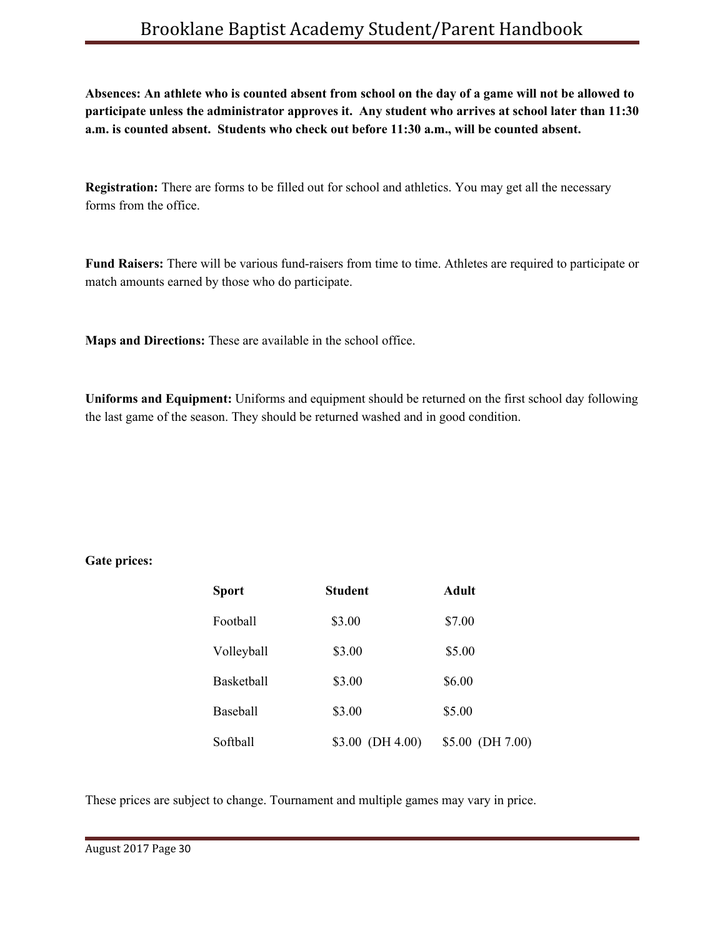Absences: An athlete who is counted absent from school on the day of a game will not be allowed to **participate unless the administrator approves it. Any student who arrives at school later than 11:30 a.m. is counted absent. Students who check out before 11:30 a.m., will be counted absent.**

**Registration:** There are forms to be filled out for school and athletics. You may get all the necessary forms from the office.

**Fund Raisers:** There will be various fund-raisers from time to time. Athletes are required to participate or match amounts earned by those who do participate.

**Maps and Directions:** These are available in the school office.

**Uniforms and Equipment:** Uniforms and equipment should be returned on the first school day following the last game of the season. They should be returned washed and in good condition.

### **Gate prices:**

| <b>Sport</b>      | <b>Student</b>    | Adult            |
|-------------------|-------------------|------------------|
| Football          | \$3.00            | \$7.00           |
| Volleyball        | \$3.00            | \$5.00           |
| <b>Basketball</b> | \$3.00            | \$6.00           |
| Baseball          | \$3.00            | \$5.00           |
| Softball          | $$3.00$ (DH 4.00) | \$5.00 (DH 7.00) |

These prices are subject to change. Tournament and multiple games may vary in price.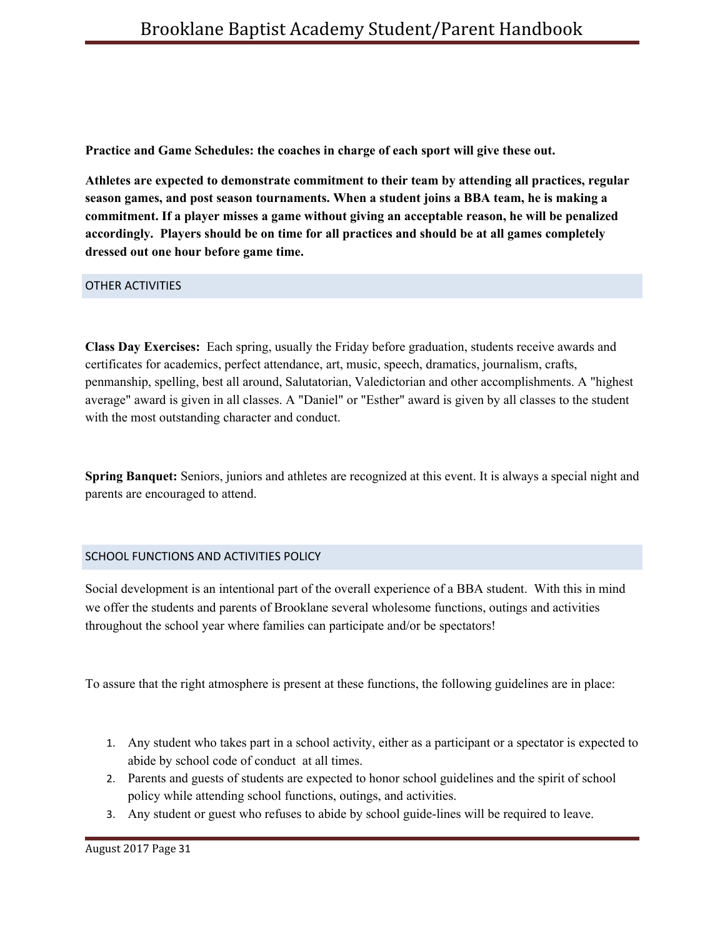**Practice and Game Schedules: the coaches in charge of each sport will give these out.**

**Athletes are expected to demonstrate commitment to their team by attending all practices, regular season games, and post season tournaments. When a student joins a BBA team, he is making a commitment. If a player misses a game without giving an acceptable reason, he will be penalized accordingly. Players should be on time for all practices and should be at all games completely dressed out one hour before game time.**

<span id="page-31-0"></span>OTHER ACTIVITIES

**Class Day Exercises:** Each spring, usually the Friday before graduation, students receive awards and certificates for academics, perfect attendance, art, music, speech, dramatics, journalism, crafts, penmanship, spelling, best all around, Salutatorian, Valedictorian and other accomplishments. A "highest average" award is given in all classes. A "Daniel" or "Esther" award is given by all classes to the student with the most outstanding character and conduct.

**Spring Banquet:** Seniors, juniors and athletes are recognized at this event. It is always a special night and parents are encouraged to attend.

# <span id="page-31-1"></span>SCHOOL FUNCTIONS AND ACTIVITIES POLICY

Social development is an intentional part of the overall experience of a BBA student. With this in mind we offer the students and parents of Brooklane several wholesome functions, outings and activities throughout the school year where families can participate and/or be spectators!

To assure that the right atmosphere is present at these functions, the following guidelines are in place:

- 1. Any student who takes part in a school activity, either as a participant or a spectator is expected to abide by school code of conduct at all times.
- 2. Parents and guests of students are expected to honor school guidelines and the spirit of school policy while attending school functions, outings, and activities.
- 3. Any student or guest who refuses to abide by school guide-lines will be required to leave.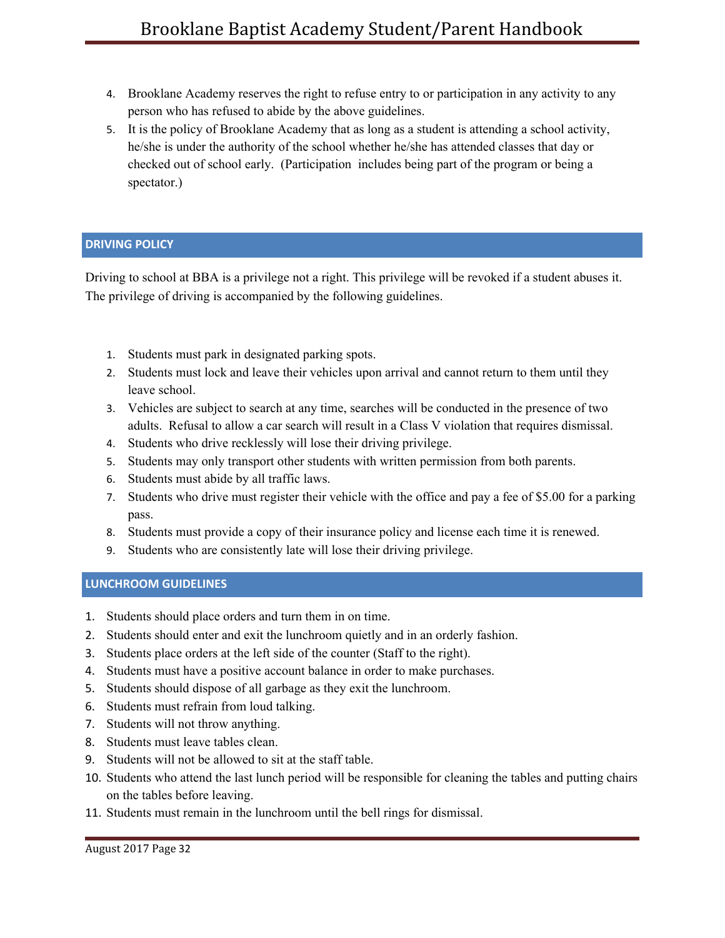- 4. Brooklane Academy reserves the right to refuse entry to or participation in any activity to any person who has refused to abide by the above guidelines.
- 5. It is the policy of Brooklane Academy that as long as a student is attending a school activity, he/she is under the authority of the school whether he/she has attended classes that day or checked out of school early. (Participation includes being part of the program or being a spectator.)

## <span id="page-32-0"></span>**DRIVING POLICY**

Driving to school at BBA is a privilege not a right. This privilege will be revoked if a student abuses it. The privilege of driving is accompanied by the following guidelines.

- 1. Students must park in designated parking spots.
- 2. Students must lock and leave their vehicles upon arrival and cannot return to them until they leave school.
- 3. Vehicles are subject to search at any time, searches will be conducted in the presence of two adults. Refusal to allow a car search will result in a Class V violation that requires dismissal.
- 4. Students who drive recklessly will lose their driving privilege.
- 5. Students may only transport other students with written permission from both parents.
- 6. Students must abide by all traffic laws.
- 7. Students who drive must register their vehicle with the office and pay a fee of \$5.00 for a parking pass.
- 8. Students must provide a copy of their insurance policy and license each time it is renewed.
- 9. Students who are consistently late will lose their driving privilege.

### <span id="page-32-1"></span>**LUNCHROOM GUIDELINES**

- 1. Students should place orders and turn them in on time.
- 2. Students should enter and exit the lunchroom quietly and in an orderly fashion.
- 3. Students place orders at the left side of the counter (Staff to the right).
- 4. Students must have a positive account balance in order to make purchases.
- 5. Students should dispose of all garbage as they exit the lunchroom.
- 6. Students must refrain from loud talking.
- 7. Students will not throw anything.
- 8. Students must leave tables clean.
- 9. Students will not be allowed to sit at the staff table.
- 10. Students who attend the last lunch period will be responsible for cleaning the tables and putting chairs on the tables before leaving.
- 11. Students must remain in the lunchroom until the bell rings for dismissal.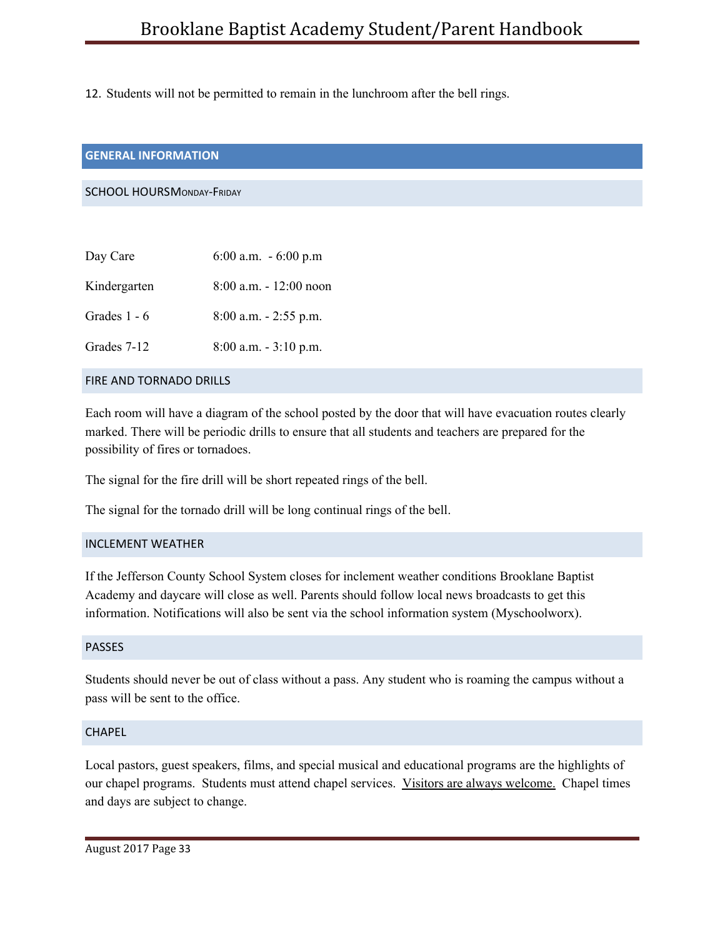12. Students will not be permitted to remain in the lunchroom after the bell rings.

### <span id="page-33-0"></span>**GENERAL INFORMATION**

<span id="page-33-1"></span>SCHOOL HOURSMONDAY-FRIDAY

| Day Care       | 6:00 a.m. $-6:00$ p.m     |
|----------------|---------------------------|
| Kindergarten   | $8:00$ a.m. $-12:00$ noon |
| Grades $1 - 6$ | $8:00$ a.m. $-2:55$ p.m.  |
| Grades 7-12    | $8:00$ a.m. $-3:10$ p.m.  |
|                |                           |

# <span id="page-33-2"></span>FIRE AND TORNADO DRILLS

Each room will have a diagram of the school posted by the door that will have evacuation routes clearly marked. There will be periodic drills to ensure that all students and teachers are prepared for the possibility of fires or tornadoes.

The signal for the fire drill will be short repeated rings of the bell.

The signal for the tornado drill will be long continual rings of the bell.

### <span id="page-33-3"></span>INCLEMENT WEATHER

If the Jefferson County School System closes for inclement weather conditions Brooklane Baptist Academy and daycare will close as well. Parents should follow local news broadcasts to get this information. Notifications will also be sent via the school information system (Myschoolworx).

### <span id="page-33-4"></span>PASSES

Students should never be out of class without a pass. Any student who is roaming the campus without a pass will be sent to the office.

### <span id="page-33-5"></span>**CHAPFL**

Local pastors, guest speakers, films, and special musical and educational programs are the highlights of our chapel programs. Students must attend chapel services. Visitors are always welcome. Chapel times and days are subject to change.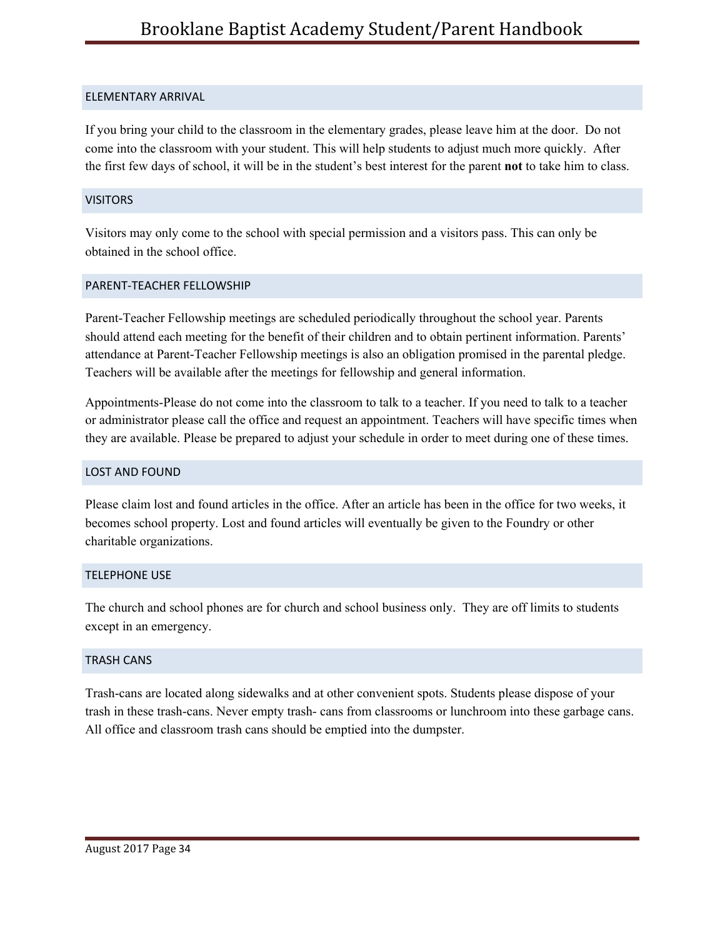### <span id="page-34-0"></span>ELEMENTARY ARRIVAL

If you bring your child to the classroom in the elementary grades, please leave him at the door. Do not come into the classroom with your student. This will help students to adjust much more quickly. After the first few days of school, it will be in the student's best interest for the parent **not** to take him to class.

## <span id="page-34-1"></span>**VISITORS**

Visitors may only come to the school with special permission and a visitors pass. This can only be obtained in the school office.

### <span id="page-34-2"></span>PARENT-TEACHER FELLOWSHIP

Parent-Teacher Fellowship meetings are scheduled periodically throughout the school year. Parents should attend each meeting for the benefit of their children and to obtain pertinent information. Parents' attendance at Parent-Teacher Fellowship meetings is also an obligation promised in the parental pledge. Teachers will be available after the meetings for fellowship and general information.

Appointments-Please do not come into the classroom to talk to a teacher. If you need to talk to a teacher or administrator please call the office and request an appointment. Teachers will have specific times when they are available. Please be prepared to adjust your schedule in order to meet during one of these times.

## <span id="page-34-3"></span>LOST AND FOUND

Please claim lost and found articles in the office. After an article has been in the office for two weeks, it becomes school property. Lost and found articles will eventually be given to the Foundry or other charitable organizations.

### <span id="page-34-4"></span>TELEPHONE USE

The church and school phones are for church and school business only. They are off limits to students except in an emergency.

### <span id="page-34-5"></span>TRASH CANS

Trash-cans are located along sidewalks and at other convenient spots. Students please dispose of your trash in these trash-cans. Never empty trash- cans from classrooms or lunchroom into these garbage cans. All office and classroom trash cans should be emptied into the dumpster.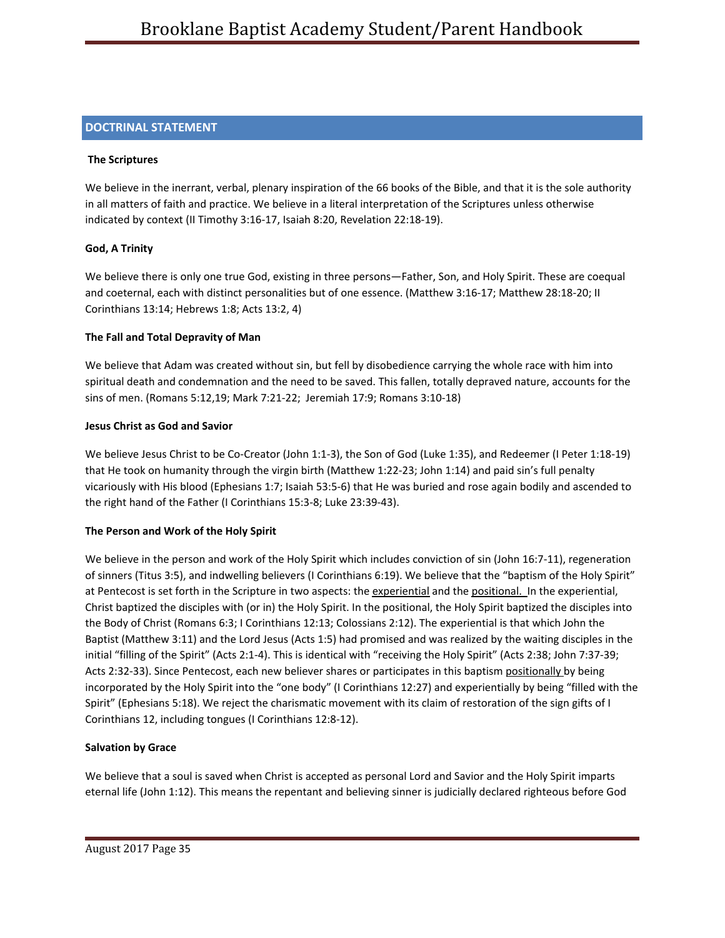## <span id="page-35-0"></span>**DOCTRINAL STATEMENT**

### **The Scriptures**

We believe in the inerrant, verbal, plenary inspiration of the 66 books of the Bible, and that it is the sole authority in all matters of faith and practice. We believe in a literal interpretation of the Scriptures unless otherwise indicated by context (II Timothy 3:16-17, Isaiah 8:20, Revelation 22:18-19).

### **God, A Trinity**

We believe there is only one true God, existing in three persons—Father, Son, and Holy Spirit. These are coequal and coeternal, each with distinct personalities but of one essence. (Matthew 3:16-17; Matthew 28:18-20; II Corinthians 13:14; Hebrews 1:8; Acts 13:2, 4)

### **The Fall and Total Depravity of Man**

We believe that Adam was created without sin, but fell by disobedience carrying the whole race with him into spiritual death and condemnation and the need to be saved. This fallen, totally depraved nature, accounts for the sins of men. (Romans 5:12,19; Mark 7:21-22; Jeremiah 17:9; Romans 3:10-18)

### **Jesus Christ as God and Savior**

We believe Jesus Christ to be Co-Creator (John 1:1-3), the Son of God (Luke 1:35), and Redeemer (I Peter 1:18-19) that He took on humanity through the virgin birth (Matthew 1:22-23; John 1:14) and paid sin's full penalty vicariously with His blood (Ephesians 1:7; Isaiah 53:5-6) that He was buried and rose again bodily and ascended to the right hand of the Father (I Corinthians 15:3-8; Luke 23:39-43).

### **The Person and Work of the Holy Spirit**

We believe in the person and work of the Holy Spirit which includes conviction of sin (John 16:7-11), regeneration of sinners (Titus 3:5), and indwelling believers (I Corinthians 6:19). We believe that the "baptism of the Holy Spirit" at Pentecost is set forth in the Scripture in two aspects: the experiential and the positional. In the experiential, Christ baptized the disciples with (or in) the Holy Spirit. In the positional, the Holy Spirit baptized the disciples into the Body of Christ (Romans 6:3; I Corinthians 12:13; Colossians 2:12). The experiential is that which John the Baptist (Matthew 3:11) and the Lord Jesus (Acts 1:5) had promised and was realized by the waiting disciples in the initial "filling of the Spirit" (Acts 2:1-4). This is identical with "receiving the Holy Spirit" (Acts 2:38; John 7:37-39; Acts 2:32-33). Since Pentecost, each new believer shares or participates in this baptism positionally by being incorporated by the Holy Spirit into the "one body" (I Corinthians 12:27) and experientially by being "filled with the Spirit" (Ephesians 5:18). We reject the charismatic movement with its claim of restoration of the sign gifts of I Corinthians 12, including tongues (I Corinthians 12:8-12).

### **Salvation by Grace**

We believe that a soul is saved when Christ is accepted as personal Lord and Savior and the Holy Spirit imparts eternal life (John 1:12). This means the repentant and believing sinner is judicially declared righteous before God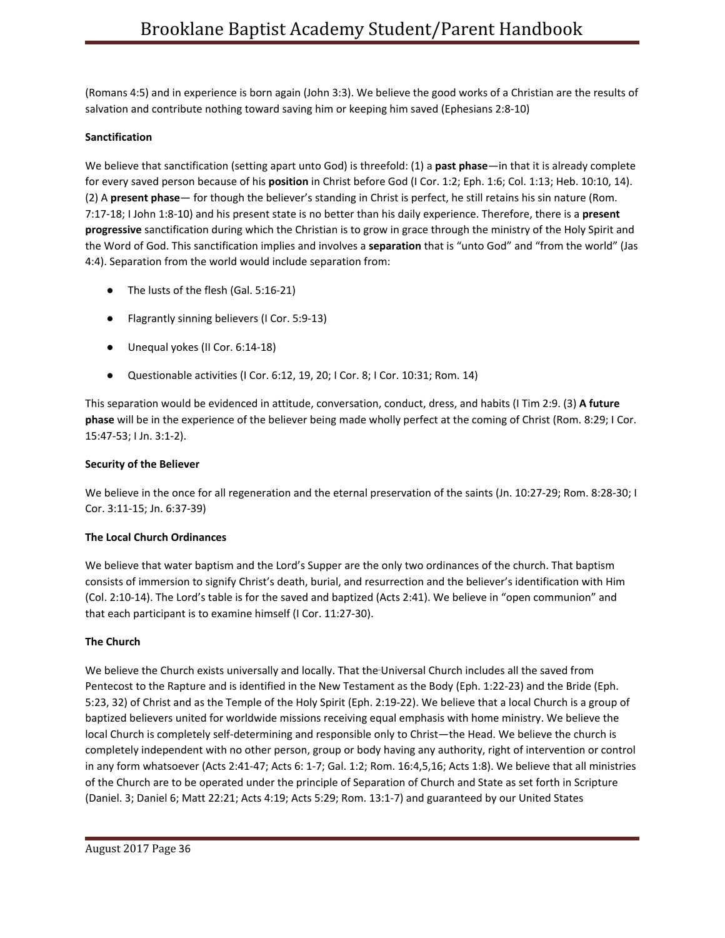(Romans 4:5) and in experience is born again (John 3:3). We believe the good works of a Christian are the results of salvation and contribute nothing toward saving him or keeping him saved (Ephesians 2:8-10)

### **Sanctification**

We believe that sanctification (setting apart unto God) is threefold: (1) a **past phase**—in that it is already complete for every saved person because of his **position** in Christ before God (I Cor. 1:2; Eph. 1:6; Col. 1:13; Heb. 10:10, 14). (2) A **present phase**— for though the believer's standing in Christ is perfect, he still retains his sin nature (Rom. 7:17-18; I John 1:8-10) and his present state is no better than his daily experience. Therefore, there is a **present progressive** sanctification during which the Christian is to grow in grace through the ministry of the Holy Spirit and the Word of God. This sanctification implies and involves a **separation** that is "unto God" and "from the world" (Jas 4:4). Separation from the world would include separation from:

- The lusts of the flesh (Gal. 5:16-21)
- Flagrantly sinning believers (I Cor. 5:9-13)
- Unequal yokes (II Cor. 6:14-18)
- Questionable activities (I Cor. 6:12, 19, 20; I Cor. 8; I Cor. 10:31; Rom. 14)

This separation would be evidenced in attitude, conversation, conduct, dress, and habits (I Tim 2:9. (3) **A future phase** will be in the experience of the believer being made wholly perfect at the coming of Christ (Rom. 8:29; I Cor. 15:47-53; I Jn. 3:1-2).

### **Security of the Believer**

We believe in the once for all regeneration and the eternal preservation of the saints (Jn. 10:27-29; Rom. 8:28-30; I Cor. 3:11-15; Jn. 6:37-39)

### **The Local Church Ordinances**

We believe that water baptism and the Lord's Supper are the only two ordinances of the church. That baptism consists of immersion to signify Christ's death, burial, and resurrection and the believer's identification with Him (Col. 2:10-14). The Lord's table is for the saved and baptized (Acts 2:41). We believe in "open communion" and that each participant is to examine himself (I Cor. 11:27-30).

### **The Church**

We believe the Church exists universally and locally. That the Universal Church includes all the saved from Pentecost to the Rapture and is identified in the New Testament as the Body (Eph. 1:22-23) and the Bride (Eph. 5:23, 32) of Christ and as the Temple of the Holy Spirit (Eph. 2:19-22). We believe that a local Church is a group of baptized believers united for worldwide missions receiving equal emphasis with home ministry. We believe the local Church is completely self-determining and responsible only to Christ—the Head. We believe the church is completely independent with no other person, group or body having any authority, right of intervention or control in any form whatsoever (Acts 2:41-47; Acts 6: 1-7; Gal. 1:2; Rom. 16:4,5,16; Acts 1:8). We believe that all ministries of the Church are to be operated under the principle of Separation of Church and State as set forth in Scripture (Daniel. 3; Daniel 6; Matt 22:21; Acts 4:19; Acts 5:29; Rom. 13:1-7) and guaranteed by our United States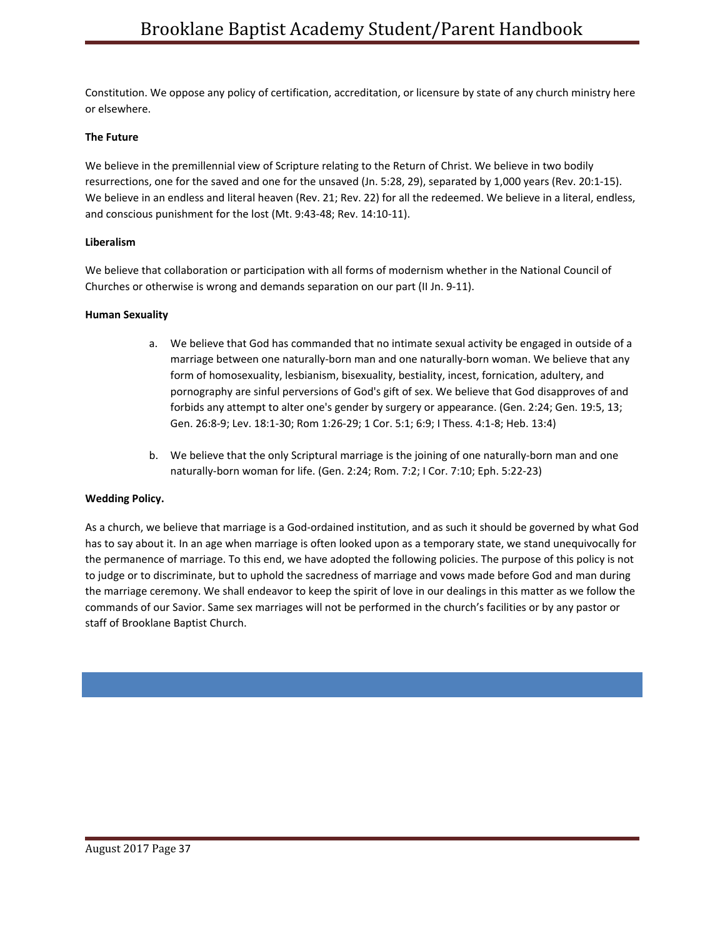Constitution. We oppose any policy of certification, accreditation, or licensure by state of any church ministry here or elsewhere.

### **The Future**

We believe in the premillennial view of Scripture relating to the Return of Christ. We believe in two bodily resurrections, one for the saved and one for the unsaved (Jn. 5:28, 29), separated by 1,000 years (Rev. 20:1-15). We believe in an endless and literal heaven (Rev. 21; Rev. 22) for all the redeemed. We believe in a literal, endless, and conscious punishment for the lost (Mt. 9:43-48; Rev. 14:10-11).

#### **Liberalism**

We believe that collaboration or participation with all forms of modernism whether in the National Council of Churches or otherwise is wrong and demands separation on our part (II Jn. 9-11).

#### **Human Sexuality**

- a. We believe that God has commanded that no intimate sexual activity be engaged in outside of a marriage between one naturally-born man and one naturally-born woman. We believe that any form of homosexuality, lesbianism, bisexuality, bestiality, incest, fornication, adultery, and pornography are sinful perversions of God's gift of sex. We believe that God disapproves of and forbids any attempt to alter one's gender by surgery or appearance. (Gen. 2:24; Gen. 19:5, 13; Gen. 26:8-9; Lev. 18:1-30; Rom 1:26-29; 1 Cor. 5:1; 6:9; I Thess. 4:1-8; Heb. 13:4)
- b. We believe that the only Scriptural marriage is the joining of one naturally-born man and one naturally-born woman for life. (Gen. 2:24; Rom. 7:2; I Cor. 7:10; Eph. 5:22-23)

### **Wedding Policy.**

As a church, we believe that marriage is a God-ordained institution, and as such it should be governed by what God has to say about it. In an age when marriage is often looked upon as a temporary state, we stand unequivocally for the permanence of marriage. To this end, we have adopted the following policies. The purpose of this policy is not to judge or to discriminate, but to uphold the sacredness of marriage and vows made before God and man during the marriage ceremony. We shall endeavor to keep the spirit of love in our dealings in this matter as we follow the commands of our Savior. Same sex marriages will not be performed in the church's facilities or by any pastor or staff of Brooklane Baptist Church.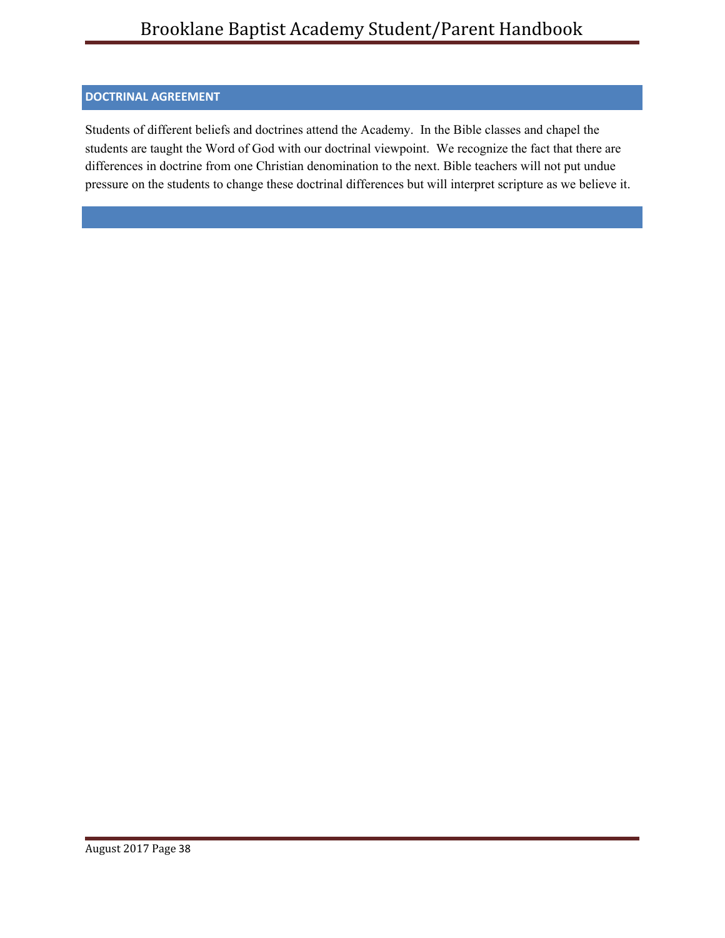# <span id="page-38-0"></span>**DOCTRINAL AGREEMENT**

<span id="page-38-1"></span>Students of different beliefs and doctrines attend the Academy. In the Bible classes and chapel the students are taught the Word of God with our doctrinal viewpoint. We recognize the fact that there are differences in doctrine from one Christian denomination to the next. Bible teachers will not put undue pressure on the students to change these doctrinal differences but will interpret scripture as we believe it.